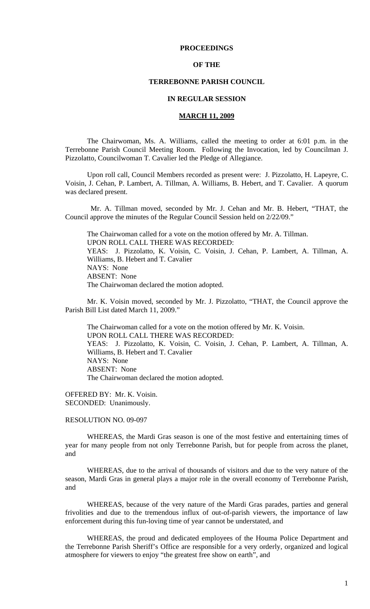# **PROCEEDINGS**

# **OF THE**

# **TERREBONNE PARISH COUNCIL**

# **IN REGULAR SESSION**

## **MARCH 11, 2009**

 The Chairwoman, Ms. A. Williams, called the meeting to order at 6:01 p.m. in the Terrebonne Parish Council Meeting Room. Following the Invocation, led by Councilman J. Pizzolatto, Councilwoman T. Cavalier led the Pledge of Allegiance.

Upon roll call, Council Members recorded as present were: J. Pizzolatto, H. Lapeyre, C. Voisin, J. Cehan, P. Lambert, A. Tillman, A. Williams, B. Hebert, and T. Cavalier. A quorum was declared present.

 Mr. A. Tillman moved, seconded by Mr. J. Cehan and Mr. B. Hebert, "THAT, the Council approve the minutes of the Regular Council Session held on 2/22/09."

The Chairwoman called for a vote on the motion offered by Mr. A. Tillman. UPON ROLL CALL THERE WAS RECORDED: YEAS: J. Pizzolatto, K. Voisin, C. Voisin, J. Cehan, P. Lambert, A. Tillman, A. Williams, B. Hebert and T. Cavalier NAYS: None ABSENT: None The Chairwoman declared the motion adopted.

Mr. K. Voisin moved, seconded by Mr. J. Pizzolatto, "THAT, the Council approve the Parish Bill List dated March 11, 2009."

The Chairwoman called for a vote on the motion offered by Mr. K. Voisin. UPON ROLL CALL THERE WAS RECORDED: YEAS: J. Pizzolatto, K. Voisin, C. Voisin, J. Cehan, P. Lambert, A. Tillman, A. Williams, B. Hebert and T. Cavalier NAYS: None ABSENT: None The Chairwoman declared the motion adopted.

OFFERED BY: Mr. K. Voisin. SECONDED: Unanimously.

#### RESOLUTION NO. 09-097

WHEREAS, the Mardi Gras season is one of the most festive and entertaining times of year for many people from not only Terrebonne Parish, but for people from across the planet, and

WHEREAS, due to the arrival of thousands of visitors and due to the very nature of the season, Mardi Gras in general plays a major role in the overall economy of Terrebonne Parish, and

WHEREAS, because of the very nature of the Mardi Gras parades, parties and general frivolities and due to the tremendous influx of out-of-parish viewers, the importance of law enforcement during this fun-loving time of year cannot be understated, and

WHEREAS, the proud and dedicated employees of the Houma Police Department and the Terrebonne Parish Sheriff's Office are responsible for a very orderly, organized and logical atmosphere for viewers to enjoy "the greatest free show on earth", and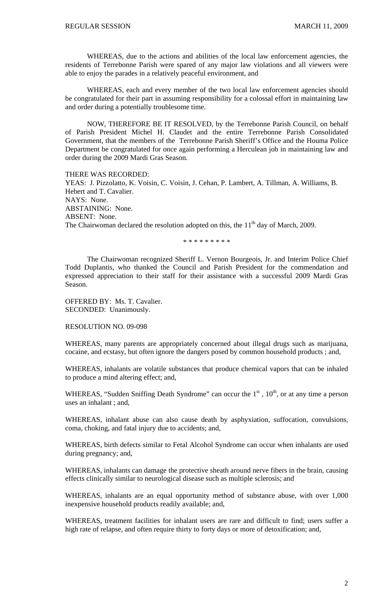WHEREAS, due to the actions and abilities of the local law enforcement agencies, the residents of Terrebonne Parish were spared of any major law violations and all viewers were able to enjoy the parades in a relatively peaceful environment, and

WHEREAS, each and every member of the two local law enforcement agencies should be congratulated for their part in assuming responsibility for a colossal effort in maintaining law and order during a potentially troublesome time.

NOW, THEREFORE BE IT RESOLVED, by the Terrebonne Parish Council, on behalf of Parish President Michel H. Claudet and the entire Terrebonne Parish Consolidated Government, that the members of the Terrebonne Parish Sheriff's Office and the Houma Police Department be congratulated for once again performing a Herculean job in maintaining law and order during the 2009 Mardi Gras Season.

THERE WAS RECORDED: YEAS: J. Pizzolatto, K. Voisin, C. Voisin, J. Cehan, P. Lambert, A. Tillman, A. Williams, B. Hebert and T. Cavalier. NAYS: None. ABSTAINING: None. ABSENT: None. The Chairwoman declared the resolution adopted on this, the  $11<sup>th</sup>$  day of March, 2009.

\* \* \* \* \* \* \* \* \*

The Chairwoman recognized Sheriff L. Vernon Bourgeois, Jr. and Interim Police Chief Todd Duplantis, who thanked the Council and Parish President for the commendation and expressed appreciation to their staff for their assistance with a successful 2009 Mardi Gras Season.

OFFERED BY: Ms. T. Cavalier. SECONDED: Unanimously.

RESOLUTION NO. 09-098

WHEREAS, many parents are appropriately concerned about illegal drugs such as marijuana, cocaine, and ecstasy, but often ignore the dangers posed by common household products ; and,

WHEREAS, inhalants are volatile substances that produce chemical vapors that can be inhaled to produce a mind altering effect; and,

WHEREAS, "Sudden Sniffing Death Syndrome" can occur the  $1<sup>st</sup>$ ,  $10<sup>th</sup>$ , or at any time a person uses an inhalant ; and,

WHEREAS, inhalant abuse can also cause death by asphyxiation, suffocation, convulsions, coma, choking, and fatal injury due to accidents; and,

WHEREAS, birth defects similar to Fetal Alcohol Syndrome can occur when inhalants are used during pregnancy; and,

WHEREAS, inhalants can damage the protective sheath around nerve fibers in the brain, causing effects clinically similar to neurological disease such as multiple sclerosis; and

WHEREAS, inhalants are an equal opportunity method of substance abuse, with over 1,000 inexpensive household products readily available; and,

WHEREAS, treatment facilities for inhalant users are rare and difficult to find; users suffer a high rate of relapse, and often require thirty to forty days or more of detoxification; and,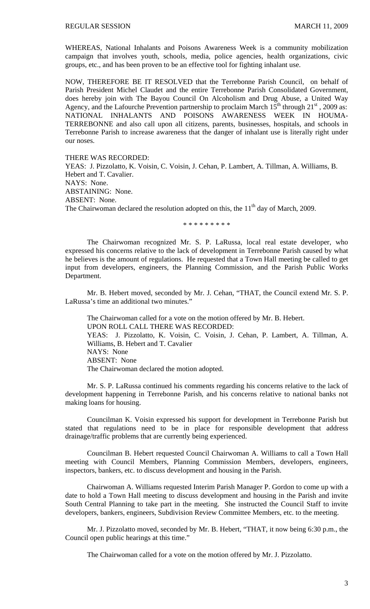WHEREAS, National Inhalants and Poisons Awareness Week is a community mobilization campaign that involves youth, schools, media, police agencies, health organizations, civic groups, etc., and has been proven to be an effective tool for fighting inhalant use.

NOW, THEREFORE BE IT RESOLVED that the Terrebonne Parish Council, on behalf of Parish President Michel Claudet and the entire Terrebonne Parish Consolidated Government, does hereby join with The Bayou Council On Alcoholism and Drug Abuse, a United Way Agency, and the Lafourche Prevention partnership to proclaim March  $15^{th}$  through  $21^{st}$ , 2009 as: NATIONAL INHALANTS AND POISONS AWARENESS WEEK IN HOUMA-TERREBONNE and also call upon all citizens, parents, businesses, hospitals, and schools in Terrebonne Parish to increase awareness that the danger of inhalant use is literally right under our noses.

THERE WAS RECORDED:

YEAS: J. Pizzolatto, K. Voisin, C. Voisin, J. Cehan, P. Lambert, A. Tillman, A. Williams, B. Hebert and T. Cavalier. NAYS: None. ABSTAINING: None. ABSENT: None. The Chairwoman declared the resolution adopted on this, the  $11<sup>th</sup>$  day of March, 2009.

\* \* \* \* \* \* \* \* \*

 The Chairwoman recognized Mr. S. P. LaRussa, local real estate developer, who expressed his concerns relative to the lack of development in Terrebonne Parish caused by what he believes is the amount of regulations. He requested that a Town Hall meeting be called to get input from developers, engineers, the Planning Commission, and the Parish Public Works Department.

 Mr. B. Hebert moved, seconded by Mr. J. Cehan, "THAT, the Council extend Mr. S. P. LaRussa's time an additional two minutes."

 The Chairwoman called for a vote on the motion offered by Mr. B. Hebert. UPON ROLL CALL THERE WAS RECORDED: YEAS: J. Pizzolatto, K. Voisin, C. Voisin, J. Cehan, P. Lambert, A. Tillman, A. Williams, B. Hebert and T. Cavalier NAYS: None ABSENT: None The Chairwoman declared the motion adopted.

 Mr. S. P. LaRussa continued his comments regarding his concerns relative to the lack of development happening in Terrebonne Parish, and his concerns relative to national banks not making loans for housing.

 Councilman K. Voisin expressed his support for development in Terrebonne Parish but stated that regulations need to be in place for responsible development that address drainage/traffic problems that are currently being experienced.

 Councilman B. Hebert requested Council Chairwoman A. Williams to call a Town Hall meeting with Council Members, Planning Commission Members, developers, engineers, inspectors, bankers, etc. to discuss development and housing in the Parish.

 Chairwoman A. Williams requested Interim Parish Manager P. Gordon to come up with a date to hold a Town Hall meeting to discuss development and housing in the Parish and invite South Central Planning to take part in the meeting. She instructed the Council Staff to invite developers, bankers, engineers, Subdivision Review Committee Members, etc. to the meeting.

 Mr. J. Pizzolatto moved, seconded by Mr. B. Hebert, "THAT, it now being 6:30 p.m., the Council open public hearings at this time."

The Chairwoman called for a vote on the motion offered by Mr. J. Pizzolatto.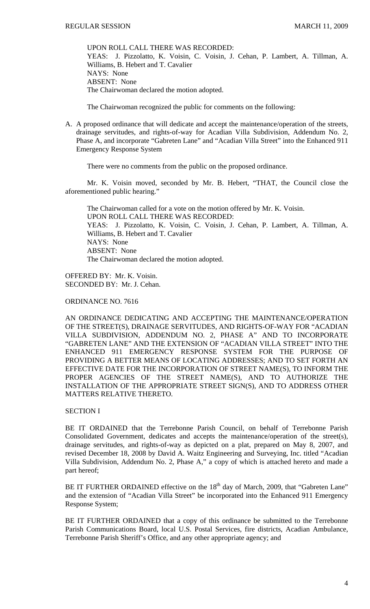UPON ROLL CALL THERE WAS RECORDED: YEAS: J. Pizzolatto, K. Voisin, C. Voisin, J. Cehan, P. Lambert, A. Tillman, A. Williams, B. Hebert and T. Cavalier NAYS: None ABSENT: None The Chairwoman declared the motion adopted.

The Chairwoman recognized the public for comments on the following:

A. A proposed ordinance that will dedicate and accept the maintenance/operation of the streets, drainage servitudes, and rights-of-way for Acadian Villa Subdivision, Addendum No. 2, Phase A, and incorporate "Gabreten Lane" and "Acadian Villa Street" into the Enhanced 911 Emergency Response System

There were no comments from the public on the proposed ordinance.

 Mr. K. Voisin moved, seconded by Mr. B. Hebert, "THAT, the Council close the aforementioned public hearing."

 The Chairwoman called for a vote on the motion offered by Mr. K. Voisin. UPON ROLL CALL THERE WAS RECORDED: YEAS: J. Pizzolatto, K. Voisin, C. Voisin, J. Cehan, P. Lambert, A. Tillman, A. Williams, B. Hebert and T. Cavalier NAYS: None ABSENT: None The Chairwoman declared the motion adopted.

OFFERED BY: Mr. K. Voisin. SECONDED BY: Mr. J. Cehan.

ORDINANCE NO. 7616

AN ORDINANCE DEDICATING AND ACCEPTING THE MAINTENANCE/OPERATION OF THE STREET(S), DRAINAGE SERVITUDES, AND RIGHTS-OF-WAY FOR "ACADIAN VILLA SUBDIVISION, ADDENDUM NO. 2, PHASE A" AND TO INCORPORATE "GABRETEN LANE" AND THE EXTENSION OF "ACADIAN VILLA STREET" INTO THE ENHANCED 911 EMERGENCY RESPONSE SYSTEM FOR THE PURPOSE OF PROVIDING A BETTER MEANS OF LOCATING ADDRESSES; AND TO SET FORTH AN EFFECTIVE DATE FOR THE INCORPORATION OF STREET NAME(S), TO INFORM THE PROPER AGENCIES OF THE STREET NAME(S), AND TO AUTHORIZE THE INSTALLATION OF THE APPROPRIATE STREET SIGN(S), AND TO ADDRESS OTHER MATTERS RELATIVE THERETO.

SECTION I

BE IT ORDAINED that the Terrebonne Parish Council, on behalf of Terrebonne Parish Consolidated Government, dedicates and accepts the maintenance/operation of the street(s), drainage servitudes, and rights-of-way as depicted on a plat, prepared on May 8, 2007, and revised December 18, 2008 by David A. Waitz Engineering and Surveying, Inc. titled "Acadian Villa Subdivision, Addendum No. 2, Phase A," a copy of which is attached hereto and made a part hereof;

BE IT FURTHER ORDAINED effective on the 18<sup>th</sup> day of March, 2009, that "Gabreten Lane" and the extension of "Acadian Villa Street" be incorporated into the Enhanced 911 Emergency Response System;

BE IT FURTHER ORDAINED that a copy of this ordinance be submitted to the Terrebonne Parish Communications Board, local U.S. Postal Services, fire districts, Acadian Ambulance, Terrebonne Parish Sheriff's Office, and any other appropriate agency; and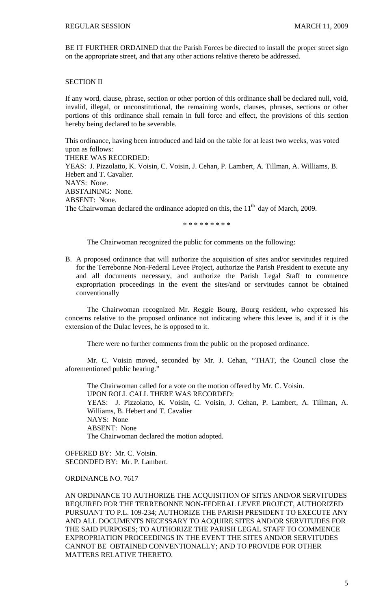BE IT FURTHER ORDAINED that the Parish Forces be directed to install the proper street sign on the appropriate street, and that any other actions relative thereto be addressed.

# SECTION II

If any word, clause, phrase, section or other portion of this ordinance shall be declared null, void, invalid, illegal, or unconstitutional, the remaining words, clauses, phrases, sections or other portions of this ordinance shall remain in full force and effect, the provisions of this section hereby being declared to be severable.

This ordinance, having been introduced and laid on the table for at least two weeks, was voted upon as follows: THERE WAS RECORDED: YEAS: J. Pizzolatto, K. Voisin, C. Voisin, J. Cehan, P. Lambert, A. Tillman, A. Williams, B. Hebert and T. Cavalier. NAYS: None. ABSTAINING: None. ABSENT: None. The Chairwoman declared the ordinance adopted on this, the  $11<sup>th</sup>$  day of March, 2009.

\* \* \* \* \* \* \* \* \*

The Chairwoman recognized the public for comments on the following:

B. A proposed ordinance that will authorize the acquisition of sites and/or servitudes required for the Terrebonne Non-Federal Levee Project, authorize the Parish President to execute any and all documents necessary, and authorize the Parish Legal Staff to commence expropriation proceedings in the event the sites/and or servitudes cannot be obtained conventionally

 The Chairwoman recognized Mr. Reggie Bourg, Bourg resident, who expressed his concerns relative to the proposed ordinance not indicating where this levee is, and if it is the extension of the Dulac levees, he is opposed to it.

There were no further comments from the public on the proposed ordinance.

 Mr. C. Voisin moved, seconded by Mr. J. Cehan, "THAT, the Council close the aforementioned public hearing."

 The Chairwoman called for a vote on the motion offered by Mr. C. Voisin. UPON ROLL CALL THERE WAS RECORDED: YEAS: J. Pizzolatto, K. Voisin, C. Voisin, J. Cehan, P. Lambert, A. Tillman, A. Williams, B. Hebert and T. Cavalier NAYS: None ABSENT: None The Chairwoman declared the motion adopted.

OFFERED BY: Mr. C. Voisin. SECONDED BY: Mr. P. Lambert.

# ORDINANCE NO. 7617

AN ORDINANCE TO AUTHORIZE THE ACQUISITION OF SITES AND/OR SERVITUDES REQUIRED FOR THE TERREBONNE NON-FEDERAL LEVEE PROJECT, AUTHORIZED PURSUANT TO P.L. 109-234; AUTHORIZE THE PARISH PRESIDENT TO EXECUTE ANY AND ALL DOCUMENTS NECESSARY TO ACQUIRE SITES AND/OR SERVITUDES FOR THE SAID PURPOSES; TO AUTHORIZE THE PARISH LEGAL STAFF TO COMMENCE EXPROPRIATION PROCEEDINGS IN THE EVENT THE SITES AND/OR SERVITUDES CANNOT BE OBTAINED CONVENTIONALLY; AND TO PROVIDE FOR OTHER MATTERS RELATIVE THERETO.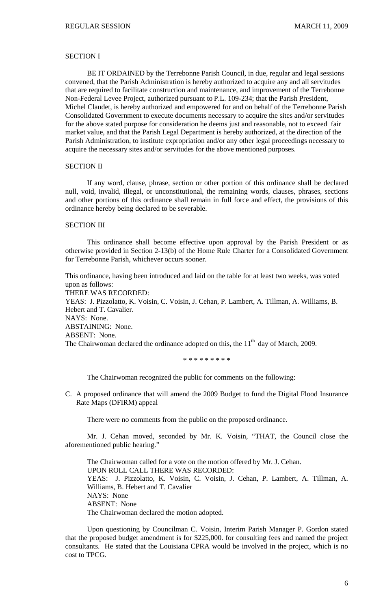# SECTION I

BE IT ORDAINED by the Terrebonne Parish Council, in due, regular and legal sessions convened, that the Parish Administration is hereby authorized to acquire any and all servitudes that are required to facilitate construction and maintenance, and improvement of the Terrebonne Non-Federal Levee Project, authorized pursuant to P.L. 109-234; that the Parish President, Michel Claudet, is hereby authorized and empowered for and on behalf of the Terrebonne Parish Consolidated Government to execute documents necessary to acquire the sites and/or servitudes for the above stated purpose for consideration he deems just and reasonable, not to exceed fair market value, and that the Parish Legal Department is hereby authorized, at the direction of the Parish Administration, to institute expropriation and/or any other legal proceedings necessary to acquire the necessary sites and/or servitudes for the above mentioned purposes.

# SECTION II

If any word, clause, phrase, section or other portion of this ordinance shall be declared null, void, invalid, illegal, or unconstitutional, the remaining words, clauses, phrases, sections and other portions of this ordinance shall remain in full force and effect, the provisions of this ordinance hereby being declared to be severable.

#### SECTION III

This ordinance shall become effective upon approval by the Parish President or as otherwise provided in Section 2-13(b) of the Home Rule Charter for a Consolidated Government for Terrebonne Parish, whichever occurs sooner.

This ordinance, having been introduced and laid on the table for at least two weeks, was voted upon as follows: THERE WAS RECORDED: YEAS: J. Pizzolatto, K. Voisin, C. Voisin, J. Cehan, P. Lambert, A. Tillman, A. Williams, B. Hebert and T. Cavalier. NAYS: None. ABSTAINING: None. ABSENT: None. The Chairwoman declared the ordinance adopted on this, the  $11<sup>th</sup>$  day of March, 2009.

#### \* \* \* \* \* \* \* \* \*

The Chairwoman recognized the public for comments on the following:

C. A proposed ordinance that will amend the 2009 Budget to fund the Digital Flood Insurance Rate Maps (DFIRM) appeal

There were no comments from the public on the proposed ordinance.

 Mr. J. Cehan moved, seconded by Mr. K. Voisin, "THAT, the Council close the aforementioned public hearing."

 The Chairwoman called for a vote on the motion offered by Mr. J. Cehan. UPON ROLL CALL THERE WAS RECORDED: YEAS: J. Pizzolatto, K. Voisin, C. Voisin, J. Cehan, P. Lambert, A. Tillman, A. Williams, B. Hebert and T. Cavalier NAYS: None ABSENT: None The Chairwoman declared the motion adopted.

 Upon questioning by Councilman C. Voisin, Interim Parish Manager P. Gordon stated that the proposed budget amendment is for \$225,000. for consulting fees and named the project consultants. He stated that the Louisiana CPRA would be involved in the project, which is no cost to TPCG.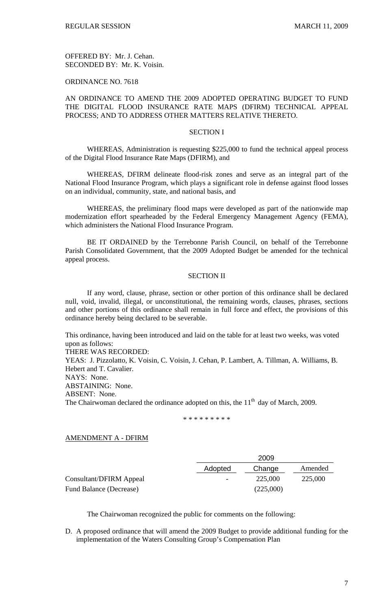OFFERED BY: Mr. J. Cehan. SECONDED BY: Mr. K. Voisin.

# ORDINANCE NO. 7618

# AN ORDINANCE TO AMEND THE 2009 ADOPTED OPERATING BUDGET TO FUND THE DIGITAL FLOOD INSURANCE RATE MAPS (DFIRM) TECHNICAL APPEAL PROCESS; AND TO ADDRESS OTHER MATTERS RELATIVE THERETO.

#### SECTION I

 WHEREAS, Administration is requesting \$225,000 to fund the technical appeal process of the Digital Flood Insurance Rate Maps (DFIRM), and

 WHEREAS, DFIRM delineate flood-risk zones and serve as an integral part of the National Flood Insurance Program, which plays a significant role in defense against flood losses on an individual, community, state, and national basis, and

WHEREAS, the preliminary flood maps were developed as part of the nationwide map modernization effort spearheaded by the Federal Emergency Management Agency (FEMA), which administers the National Flood Insurance Program.

BE IT ORDAINED by the Terrebonne Parish Council, on behalf of the Terrebonne Parish Consolidated Government, that the 2009 Adopted Budget be amended for the technical appeal process.

# SECTION II

 If any word, clause, phrase, section or other portion of this ordinance shall be declared null, void, invalid, illegal, or unconstitutional, the remaining words, clauses, phrases, sections and other portions of this ordinance shall remain in full force and effect, the provisions of this ordinance hereby being declared to be severable.

This ordinance, having been introduced and laid on the table for at least two weeks, was voted upon as follows:

THERE WAS RECORDED: YEAS: J. Pizzolatto, K. Voisin, C. Voisin, J. Cehan, P. Lambert, A. Tillman, A. Williams, B. Hebert and T. Cavalier. NAYS: None. ABSTAINING: None. ABSENT: None. The Chairwoman declared the ordinance adopted on this, the  $11<sup>th</sup>$  day of March, 2009.

\* \* \* \* \* \* \* \* \*

### AMENDMENT A - DFIRM

|                         |         | 2009      |         |  |  |
|-------------------------|---------|-----------|---------|--|--|
|                         | Adopted | Change    | Amended |  |  |
| Consultant/DFIRM Appeal |         | 225,000   | 225,000 |  |  |
| Fund Balance (Decrease) |         | (225,000) |         |  |  |

The Chairwoman recognized the public for comments on the following:

D. A proposed ordinance that will amend the 2009 Budget to provide additional funding for the implementation of the Waters Consulting Group's Compensation Plan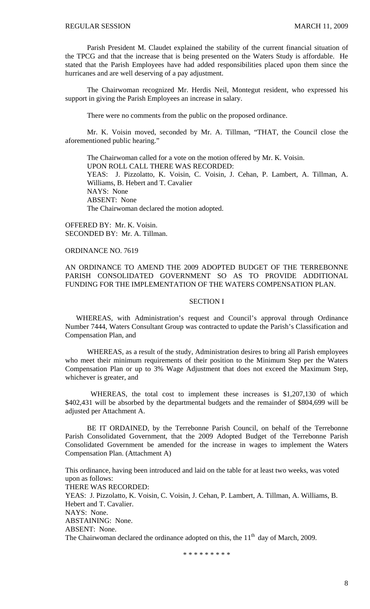Parish President M. Claudet explained the stability of the current financial situation of the TPCG and that the increase that is being presented on the Waters Study is affordable. He stated that the Parish Employees have had added responsibilities placed upon them since the hurricanes and are well deserving of a pay adjustment.

 The Chairwoman recognized Mr. Herdis Neil, Montegut resident, who expressed his support in giving the Parish Employees an increase in salary.

There were no comments from the public on the proposed ordinance.

 Mr. K. Voisin moved, seconded by Mr. A. Tillman, "THAT, the Council close the aforementioned public hearing."

 The Chairwoman called for a vote on the motion offered by Mr. K. Voisin. UPON ROLL CALL THERE WAS RECORDED: YEAS: J. Pizzolatto, K. Voisin, C. Voisin, J. Cehan, P. Lambert, A. Tillman, A. Williams, B. Hebert and T. Cavalier NAYS: None ABSENT: None The Chairwoman declared the motion adopted.

OFFERED BY: Mr. K. Voisin. SECONDED BY: Mr. A. Tillman.

# ORDINANCE NO. 7619

# AN ORDINANCE TO AMEND THE 2009 ADOPTED BUDGET OF THE TERREBONNE PARISH CONSOLIDATED GOVERNMENT SO AS TO PROVIDE ADDITIONAL FUNDING FOR THE IMPLEMENTATION OF THE WATERS COMPENSATION PLAN.

## SECTION I

 WHEREAS, with Administration's request and Council's approval through Ordinance Number 7444, Waters Consultant Group was contracted to update the Parish's Classification and Compensation Plan, and

WHEREAS, as a result of the study, Administration desires to bring all Parish employees who meet their minimum requirements of their position to the Minimum Step per the Waters Compensation Plan or up to 3% Wage Adjustment that does not exceed the Maximum Step, whichever is greater, and

WHEREAS, the total cost to implement these increases is \$1,207,130 of which \$402,431 will be absorbed by the departmental budgets and the remainder of \$804,699 will be adjusted per Attachment A.

 BE IT ORDAINED, by the Terrebonne Parish Council, on behalf of the Terrebonne Parish Consolidated Government, that the 2009 Adopted Budget of the Terrebonne Parish Consolidated Government be amended for the increase in wages to implement the Waters Compensation Plan. (Attachment A)

This ordinance, having been introduced and laid on the table for at least two weeks, was voted upon as follows: THERE WAS RECORDED: YEAS: J. Pizzolatto, K. Voisin, C. Voisin, J. Cehan, P. Lambert, A. Tillman, A. Williams, B. Hebert and T. Cavalier. NAYS: None. ABSTAINING: None. ABSENT: None. The Chairwoman declared the ordinance adopted on this, the  $11<sup>th</sup>$  day of March, 2009.

\* \* \* \* \* \* \* \* \*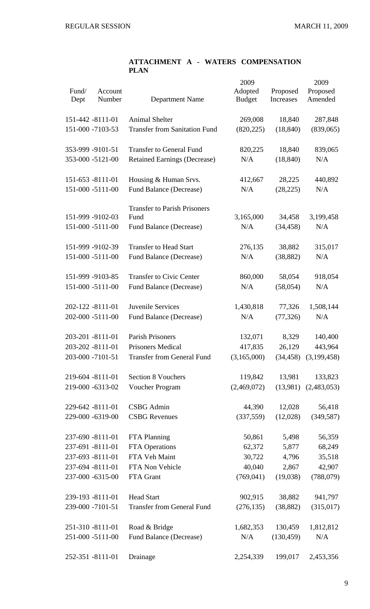# **ATTACHMENT A - WATERS COMPENSATION PLAN**

| Fund/<br>Dept | Account<br>Number | Department Name                      | 2009<br>Adopted<br><b>Budget</b> | Proposed<br>Increases | 2009<br>Proposed<br>Amended |
|---------------|-------------------|--------------------------------------|----------------------------------|-----------------------|-----------------------------|
|               | 151-442 -8111-01  | <b>Animal Shelter</b>                | 269,008                          | 18,840                | 287,848                     |
|               | 151-000 -7103-53  | <b>Transfer from Sanitation Fund</b> | (820, 225)                       | (18, 840)             | (839,065)                   |
|               | 353-999 -9101-51  | <b>Transfer to General Fund</b>      | 820,225                          | 18,840                | 839,065                     |
|               | 353-000 -5121-00  | <b>Retained Earnings (Decrease)</b>  | N/A                              | (18, 840)             | N/A                         |
|               | 151-653 -8111-01  | Housing & Human Srvs.                | 412,667                          | 28,225                | 440,892                     |
|               | 151-000 -5111-00  | Fund Balance (Decrease)              | N/A                              | (28, 225)             | N/A                         |
|               |                   | <b>Transfer to Parish Prisoners</b>  |                                  |                       |                             |
|               | 151-999 -9102-03  | Fund                                 | 3,165,000                        | 34,458                | 3,199,458                   |
|               | 151-000 -5111-00  | Fund Balance (Decrease)              | N/A                              | (34, 458)             | N/A                         |
|               | 151-999 -9102-39  | <b>Transfer to Head Start</b>        | 276,135                          | 38,882                | 315,017                     |
|               | 151-000 -5111-00  | Fund Balance (Decrease)              | N/A                              | (38, 882)             | N/A                         |
|               | 151-999 -9103-85  | <b>Transfer to Civic Center</b>      | 860,000                          | 58,054                | 918,054                     |
|               | 151-000 -5111-00  | <b>Fund Balance (Decrease)</b>       | N/A                              | (58, 054)             | N/A                         |
|               | 202-122 -8111-01  | Juvenile Services                    | 1,430,818                        | 77,326                | 1,508,144                   |
|               | 202-000 -5111-00  | <b>Fund Balance (Decrease)</b>       | N/A                              | (77, 326)             | N/A                         |
|               | 203-201 -8111-01  | <b>Parish Prisoners</b>              | 132,071                          | 8,329                 | 140,400                     |
|               | 203-202 -8111-01  | Prisoners Medical                    | 417,835                          |                       | 26,129 443,964              |
|               | 203-000 -7101-51  | <b>Transfer from General Fund</b>    | (3,165,000)                      |                       | $(34,458)$ $(3,199,458)$    |
|               | 219-604 -8111-01  | <b>Section 8 Vouchers</b>            | 119,842                          | 13,981                | 133,823                     |
|               | 219-000 -6313-02  | Voucher Program                      | (2,469,072)                      |                       | $(13,981)$ $(2,483,053)$    |
|               | 229-642 -8111-01  | <b>CSBG</b> Admin                    | 44,390                           | 12,028                | 56,418                      |
|               | 229-000 -6319-00  | <b>CSBG</b> Revenues                 | (337,559)                        | (12,028)              | (349, 587)                  |
|               | 237-690 -8111-01  | FTA Planning                         | 50,861                           | 5,498                 | 56,359                      |
|               | 237-691 -8111-01  | FTA Operations                       | 62,372                           | 5,877                 | 68,249                      |
|               | 237-693 -8111-01  | FTA Veh Maint                        | 30,722                           | 4,796                 | 35,518                      |
|               | 237-694 -8111-01  | FTA Non Vehicle                      | 40,040                           | 2,867                 | 42,907                      |
|               | 237-000 -6315-00  | FTA Grant                            | (769, 041)                       | (19,038)              | (788,079)                   |
|               | 239-193 -8111-01  | <b>Head Start</b>                    | 902,915                          | 38,882                | 941,797                     |
|               | 239-000 -7101-51  | <b>Transfer from General Fund</b>    | (276, 135)                       | (38, 882)             | (315,017)                   |
|               | 251-310 -8111-01  | Road & Bridge                        | 1,682,353                        | 130,459               | 1,812,812                   |
|               | 251-000 -5111-00  | Fund Balance (Decrease)              | N/A                              | (130, 459)            | N/A                         |
|               | 252-351 -8111-01  | Drainage                             | 2,254,339                        | 199,017               | 2,453,356                   |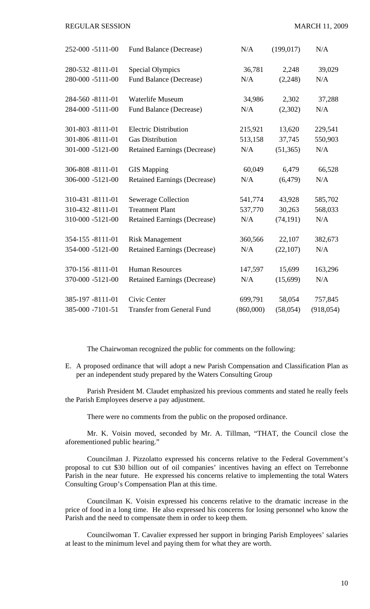#### REGULAR SESSION MARCH 11, 2009

| 252-000 -5111-00 | Fund Balance (Decrease)             | N/A       | (199, 017) | N/A        |
|------------------|-------------------------------------|-----------|------------|------------|
| 280-532 -8111-01 | <b>Special Olympics</b>             | 36,781    | 2,248      | 39,029     |
| 280-000 -5111-00 | Fund Balance (Decrease)             | N/A       | (2,248)    | N/A        |
| 284-560 -8111-01 | <b>Waterlife Museum</b>             | 34,986    | 2,302      | 37,288     |
| 284-000 -5111-00 | <b>Fund Balance (Decrease)</b>      | N/A       | (2,302)    | N/A        |
| 301-803 -8111-01 | <b>Electric Distribution</b>        | 215,921   | 13,620     | 229,541    |
| 301-806 -8111-01 | <b>Gas Distribution</b>             | 513,158   | 37,745     | 550,903    |
| 301-000 -5121-00 | <b>Retained Earnings (Decrease)</b> | N/A       | (51, 365)  | N/A        |
| 306-808 -8111-01 | <b>GIS Mapping</b>                  | 60,049    | 6,479      | 66,528     |
| 306-000 -5121-00 | <b>Retained Earnings (Decrease)</b> | N/A       | (6, 479)   | N/A        |
| 310-431 -8111-01 | <b>Sewerage Collection</b>          | 541,774   | 43,928     | 585,702    |
| 310-432 -8111-01 | <b>Treatment Plant</b>              | 537,770   | 30,263     | 568,033    |
| 310-000 -5121-00 | <b>Retained Earnings (Decrease)</b> | N/A       | (74, 191)  | N/A        |
| 354-155 -8111-01 | <b>Risk Management</b>              | 360,566   | 22,107     | 382,673    |
| 354-000 -5121-00 | <b>Retained Earnings (Decrease)</b> | N/A       | (22, 107)  | N/A        |
| 370-156 -8111-01 | <b>Human Resources</b>              | 147,597   | 15,699     | 163,296    |
| 370-000 -5121-00 | <b>Retained Earnings (Decrease)</b> | N/A       | (15,699)   | N/A        |
| 385-197 -8111-01 | Civic Center                        | 699,791   | 58,054     | 757,845    |
| 385-000 -7101-51 | <b>Transfer from General Fund</b>   | (860,000) | (58, 054)  | (918, 054) |

The Chairwoman recognized the public for comments on the following:

E. A proposed ordinance that will adopt a new Parish Compensation and Classification Plan as per an independent study prepared by the Waters Consulting Group

 Parish President M. Claudet emphasized his previous comments and stated he really feels the Parish Employees deserve a pay adjustment.

There were no comments from the public on the proposed ordinance.

 Mr. K. Voisin moved, seconded by Mr. A. Tillman, "THAT, the Council close the aforementioned public hearing."

Councilman J. Pizzolatto expressed his concerns relative to the Federal Government's proposal to cut \$30 billion out of oil companies' incentives having an effect on Terrebonne Parish in the near future. He expressed his concerns relative to implementing the total Waters Consulting Group's Compensation Plan at this time.

 Councilman K. Voisin expressed his concerns relative to the dramatic increase in the price of food in a long time. He also expressed his concerns for losing personnel who know the Parish and the need to compensate them in order to keep them.

 Councilwoman T. Cavalier expressed her support in bringing Parish Employees' salaries at least to the minimum level and paying them for what they are worth.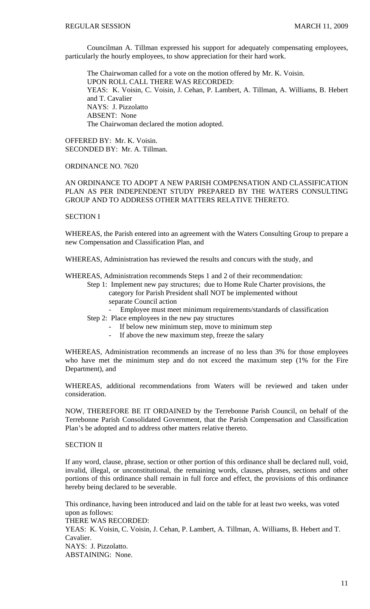Councilman A. Tillman expressed his support for adequately compensating employees, particularly the hourly employees, to show appreciation for their hard work.

 The Chairwoman called for a vote on the motion offered by Mr. K. Voisin. UPON ROLL CALL THERE WAS RECORDED: YEAS: K. Voisin, C. Voisin, J. Cehan, P. Lambert, A. Tillman, A. Williams, B. Hebert and T. Cavalier NAYS: J. Pizzolatto ABSENT: None The Chairwoman declared the motion adopted.

OFFERED BY: Mr. K. Voisin. SECONDED BY: Mr. A. Tillman.

# ORDINANCE NO. 7620

# AN ORDINANCE TO ADOPT A NEW PARISH COMPENSATION AND CLASSIFICATION PLAN AS PER INDEPENDENT STUDY PREPARED BY THE WATERS CONSULTING GROUP AND TO ADDRESS OTHER MATTERS RELATIVE THERETO.

## SECTION I

WHEREAS, the Parish entered into an agreement with the Waters Consulting Group to prepare a new Compensation and Classification Plan, and

WHEREAS, Administration has reviewed the results and concurs with the study, and

WHEREAS, Administration recommends Steps 1 and 2 of their recommendation:

- Step 1: Implement new pay structures; due to Home Rule Charter provisions, the category for Parish President shall NOT be implemented without separate Council action
	- Employee must meet minimum requirements/standards of classification
- Step 2: Place employees in the new pay structures
	- If below new minimum step, move to minimum step
	- If above the new maximum step, freeze the salary

WHEREAS, Administration recommends an increase of no less than 3% for those employees who have met the minimum step and do not exceed the maximum step (1% for the Fire Department), and

WHEREAS, additional recommendations from Waters will be reviewed and taken under consideration.

NOW, THEREFORE BE IT ORDAINED by the Terrebonne Parish Council, on behalf of the Terrebonne Parish Consolidated Government, that the Parish Compensation and Classification Plan's be adopted and to address other matters relative thereto.

#### SECTION II

If any word, clause, phrase, section or other portion of this ordinance shall be declared null, void, invalid, illegal, or unconstitutional, the remaining words, clauses, phrases, sections and other portions of this ordinance shall remain in full force and effect, the provisions of this ordinance hereby being declared to be severable.

This ordinance, having been introduced and laid on the table for at least two weeks, was voted upon as follows: THERE WAS RECORDED: YEAS: K. Voisin, C. Voisin, J. Cehan, P. Lambert, A. Tillman, A. Williams, B. Hebert and T. Cavalier. NAYS: J. Pizzolatto. ABSTAINING: None.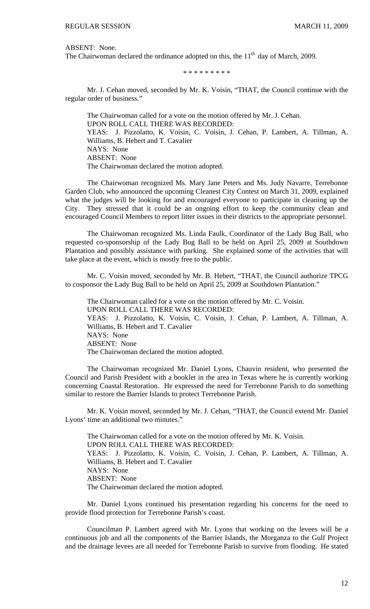ABSENT: None.

The Chairwoman declared the ordinance adopted on this, the  $11<sup>th</sup>$  day of March, 2009.

\* \* \* \* \* \* \* \* \*

Mr. J. Cehan moved, seconded by Mr. K. Voisin, "THAT, the Council continue with the regular order of business."

 The Chairwoman called for a vote on the motion offered by Mr. J. Cehan. UPON ROLL CALL THERE WAS RECORDED: YEAS: J. Pizzolatto, K. Voisin, C. Voisin, J. Cehan, P. Lambert, A. Tillman, A. Williams, B. Hebert and T. Cavalier NAYS: None ABSENT: None The Chairwoman declared the motion adopted.

 The Chairwoman recognized Ms. Mary Jane Peters and Ms. Judy Navarre, Terrebonne Garden Club, who announced the upcoming Cleanest City Contest on March 31, 2009, explained what the judges will be looking for and encouraged everyone to participate in cleaning up the City. They stressed that it could be an ongoing effort to keep the community clean and encouraged Council Members to report litter issues in their districts to the appropriate personnel.

 The Chairwoman recognized Ms. Linda Faulk, Coordinator of the Lady Bug Ball, who requested co-sponsorship of the Lady Bug Ball to be held on April 25, 2009 at Southdown Plantation and possibly assistance with parking. She explained some of the activities that will take place at the event, which is mostly free to the public.

 Mr. C. Voisin moved, seconded by Mr. B. Hebert, "THAT, the Council authorize TPCG to cosponsor the Lady Bug Ball to be held on April 25, 2009 at Southdown Plantation."

 The Chairwoman called for a vote on the motion offered by Mr. C. Voisin. UPON ROLL CALL THERE WAS RECORDED: YEAS: J. Pizzolatto, K. Voisin, C. Voisin, J. Cehan, P. Lambert, A. Tillman, A. Williams, B. Hebert and T. Cavalier NAYS: None ABSENT: None The Chairwoman declared the motion adopted.

 The Chairwoman recognized Mr. Daniel Lyons, Chauvin resident, who presented the Council and Parish President with a booklet in the area in Texas where he is currently working concerning Coastal Restoration. He expressed the need for Terrebonne Parish to do something similar to restore the Barrier Islands to protect Terrebonne Parish.

 Mr. K. Voisin moved, seconded by Mr. J. Cehan, "THAT, the Council extend Mr. Daniel Lyons' time an additional two minutes."

 The Chairwoman called for a vote on the motion offered by Mr. K. Voisin. UPON ROLL CALL THERE WAS RECORDED: YEAS: J. Pizzolatto, K. Voisin, C. Voisin, J. Cehan, P. Lambert, A. Tillman, A. Williams, B. Hebert and T. Cavalier NAYS: None ABSENT: None The Chairwoman declared the motion adopted.

 Mr. Daniel Lyons continued his presentation regarding his concerns for the need to provide flood protection for Terrebonne Parish's coast.

 Councilman P. Lambert agreed with Mr. Lyons that working on the levees will be a continuous job and all the components of the Barrier Islands, the Morganza to the Gulf Project and the drainage levees are all needed for Terrebonne Parish to survive from flooding. He stated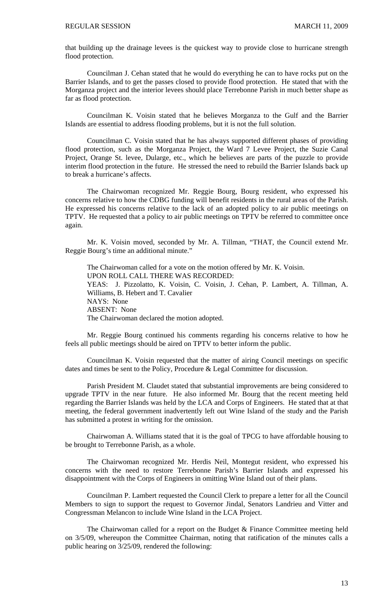that building up the drainage levees is the quickest way to provide close to hurricane strength flood protection.

 Councilman J. Cehan stated that he would do everything he can to have rocks put on the Barrier Islands, and to get the passes closed to provide flood protection. He stated that with the Morganza project and the interior levees should place Terrebonne Parish in much better shape as far as flood protection.

 Councilman K. Voisin stated that he believes Morganza to the Gulf and the Barrier Islands are essential to address flooding problems, but it is not the full solution.

 Councilman C. Voisin stated that he has always supported different phases of providing flood protection, such as the Morganza Project, the Ward 7 Levee Project, the Suzie Canal Project, Orange St. levee, Dularge, etc., which he believes are parts of the puzzle to provide interim flood protection in the future. He stressed the need to rebuild the Barrier Islands back up to break a hurricane's affects.

 The Chairwoman recognized Mr. Reggie Bourg, Bourg resident, who expressed his concerns relative to how the CDBG funding will benefit residents in the rural areas of the Parish. He expressed his concerns relative to the lack of an adopted policy to air public meetings on TPTV. He requested that a policy to air public meetings on TPTV be referred to committee once again.

 Mr. K. Voisin moved, seconded by Mr. A. Tillman, "THAT, the Council extend Mr. Reggie Bourg's time an additional minute."

 The Chairwoman called for a vote on the motion offered by Mr. K. Voisin. UPON ROLL CALL THERE WAS RECORDED: YEAS: J. Pizzolatto, K. Voisin, C. Voisin, J. Cehan, P. Lambert, A. Tillman, A. Williams, B. Hebert and T. Cavalier NAYS: None ABSENT: None The Chairwoman declared the motion adopted.

 Mr. Reggie Bourg continued his comments regarding his concerns relative to how he feels all public meetings should be aired on TPTV to better inform the public.

 Councilman K. Voisin requested that the matter of airing Council meetings on specific dates and times be sent to the Policy, Procedure & Legal Committee for discussion.

 Parish President M. Claudet stated that substantial improvements are being considered to upgrade TPTV in the near future. He also informed Mr. Bourg that the recent meeting held regarding the Barrier Islands was held by the LCA and Corps of Engineers. He stated that at that meeting, the federal government inadvertently left out Wine Island of the study and the Parish has submitted a protest in writing for the omission.

 Chairwoman A. Williams stated that it is the goal of TPCG to have affordable housing to be brought to Terrebonne Parish, as a whole.

 The Chairwoman recognized Mr. Herdis Neil, Montegut resident, who expressed his concerns with the need to restore Terrebonne Parish's Barrier Islands and expressed his disappointment with the Corps of Engineers in omitting Wine Island out of their plans.

 Councilman P. Lambert requested the Council Clerk to prepare a letter for all the Council Members to sign to support the request to Governor Jindal, Senators Landrieu and Vitter and Congressman Melancon to include Wine Island in the LCA Project.

 The Chairwoman called for a report on the Budget & Finance Committee meeting held on 3/5/09, whereupon the Committee Chairman, noting that ratification of the minutes calls a public hearing on 3/25/09, rendered the following: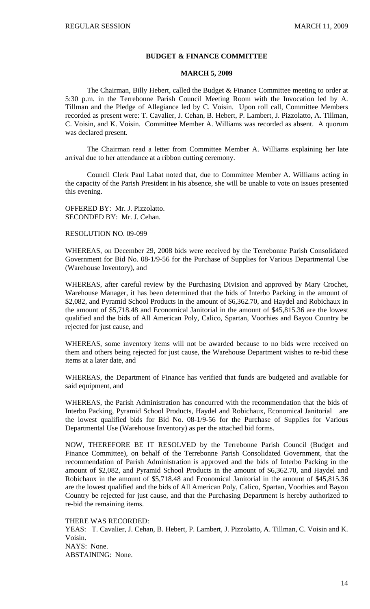#### **BUDGET & FINANCE COMMITTEE**

## **MARCH 5, 2009**

 The Chairman, Billy Hebert, called the Budget & Finance Committee meeting to order at 5:30 p.m. in the Terrebonne Parish Council Meeting Room with the Invocation led by A. Tillman and the Pledge of Allegiance led by C. Voisin. Upon roll call, Committee Members recorded as present were: T. Cavalier, J. Cehan, B. Hebert, P. Lambert, J. Pizzolatto, A. Tillman, C. Voisin, and K. Voisin. Committee Member A. Williams was recorded as absent. A quorum was declared present.

 The Chairman read a letter from Committee Member A. Williams explaining her late arrival due to her attendance at a ribbon cutting ceremony.

 Council Clerk Paul Labat noted that, due to Committee Member A. Williams acting in the capacity of the Parish President in his absence, she will be unable to vote on issues presented this evening.

OFFERED BY: Mr. J. Pizzolatto. SECONDED BY: Mr. J. Cehan.

RESOLUTION NO. 09-099

WHEREAS, on December 29, 2008 bids were received by the Terrebonne Parish Consolidated Government for Bid No. 08-1/9-56 for the Purchase of Supplies for Various Departmental Use (Warehouse Inventory), and

WHEREAS, after careful review by the Purchasing Division and approved by Mary Crochet, Warehouse Manager, it has been determined that the bids of Interbo Packing in the amount of \$2,082, and Pyramid School Products in the amount of \$6,362.70, and Haydel and Robichaux in the amount of \$5,718.48 and Economical Janitorial in the amount of \$45,815.36 are the lowest qualified and the bids of All American Poly, Calico, Spartan, Voorhies and Bayou Country be rejected for just cause, and

WHEREAS, some inventory items will not be awarded because to no bids were received on them and others being rejected for just cause, the Warehouse Department wishes to re-bid these items at a later date, and

WHEREAS, the Department of Finance has verified that funds are budgeted and available for said equipment, and

WHEREAS, the Parish Administration has concurred with the recommendation that the bids of Interbo Packing, Pyramid School Products, Haydel and Robichaux, Economical Janitorial are the lowest qualified bids for Bid No. 08-1/9-56 for the Purchase of Supplies for Various Departmental Use (Warehouse Inventory) as per the attached bid forms.

NOW, THEREFORE BE IT RESOLVED by the Terrebonne Parish Council (Budget and Finance Committee), on behalf of the Terrebonne Parish Consolidated Government, that the recommendation of Parish Administration is approved and the bids of Interbo Packing in the amount of \$2,082, and Pyramid School Products in the amount of \$6,362.70, and Haydel and Robichaux in the amount of \$5,718.48 and Economical Janitorial in the amount of \$45,815.36 are the lowest qualified and the bids of All American Poly, Calico, Spartan, Voorhies and Bayou Country be rejected for just cause, and that the Purchasing Department is hereby authorized to re-bid the remaining items.

THERE WAS RECORDED:

YEAS: T. Cavalier, J. Cehan, B. Hebert, P. Lambert, J. Pizzolatto, A. Tillman, C. Voisin and K. Voisin. NAYS: None. ABSTAINING: None.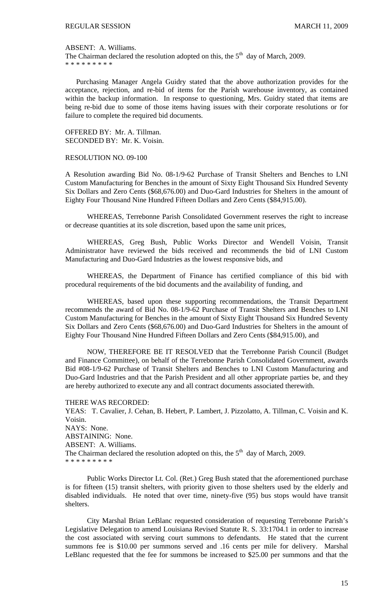#### ABSENT: A. Williams.

The Chairman declared the resolution adopted on this, the  $5<sup>th</sup>$  day of March, 2009. \* \* \* \* \* \* \* \* \*

 Purchasing Manager Angela Guidry stated that the above authorization provides for the acceptance, rejection, and re-bid of items for the Parish warehouse inventory, as contained within the backup information. In response to questioning, Mrs. Guidry stated that items are being re-bid due to some of those items having issues with their corporate resolutions or for failure to complete the required bid documents.

OFFERED BY: Mr. A. Tillman. SECONDED BY: Mr. K. Voisin.

# RESOLUTION NO. 09-100

A Resolution awarding Bid No. 08-1/9-62 Purchase of Transit Shelters and Benches to LNI Custom Manufacturing for Benches in the amount of Sixty Eight Thousand Six Hundred Seventy Six Dollars and Zero Cents (\$68,676.00) and Duo-Gard Industries for Shelters in the amount of Eighty Four Thousand Nine Hundred Fifteen Dollars and Zero Cents (\$84,915.00).

 WHEREAS, Terrebonne Parish Consolidated Government reserves the right to increase or decrease quantities at its sole discretion, based upon the same unit prices,

 WHEREAS, Greg Bush, Public Works Director and Wendell Voisin, Transit Administrator have reviewed the bids received and recommends the bid of LNI Custom Manufacturing and Duo-Gard Industries as the lowest responsive bids, and

 WHEREAS, the Department of Finance has certified compliance of this bid with procedural requirements of the bid documents and the availability of funding, and

 WHEREAS, based upon these supporting recommendations, the Transit Department recommends the award of Bid No. 08-1/9-62 Purchase of Transit Shelters and Benches to LNI Custom Manufacturing for Benches in the amount of Sixty Eight Thousand Six Hundred Seventy Six Dollars and Zero Cents (\$68,676.00) and Duo-Gard Industries for Shelters in the amount of Eighty Four Thousand Nine Hundred Fifteen Dollars and Zero Cents (\$84,915.00), and

 NOW, THEREFORE BE IT RESOLVED that the Terrebonne Parish Council (Budget and Finance Committee), on behalf of the Terrebonne Parish Consolidated Government, awards Bid #08-1/9-62 Purchase of Transit Shelters and Benches to LNI Custom Manufacturing and Duo-Gard Industries and that the Parish President and all other appropriate parties be, and they are hereby authorized to execute any and all contract documents associated therewith.

#### THERE WAS RECORDED:

YEAS: T. Cavalier, J. Cehan, B. Hebert, P. Lambert, J. Pizzolatto, A. Tillman, C. Voisin and K. Voisin. NAYS: None. ABSTAINING: None. ABSENT: A. Williams. The Chairman declared the resolution adopted on this, the  $5<sup>th</sup>$  day of March, 2009. \* \* \* \* \* \* \* \* \*

 Public Works Director Lt. Col. (Ret.) Greg Bush stated that the aforementioned purchase is for fifteen (15) transit shelters, with priority given to those shelters used by the elderly and disabled individuals. He noted that over time, ninety-five (95) bus stops would have transit shelters.

 City Marshal Brian LeBlanc requested consideration of requesting Terrebonne Parish's Legislative Delegation to amend Louisiana Revised Statute R. S. 33:1704.1 in order to increase the cost associated with serving court summons to defendants. He stated that the current summons fee is \$10.00 per summons served and .16 cents per mile for delivery. Marshal LeBlanc requested that the fee for summons be increased to \$25.00 per summons and that the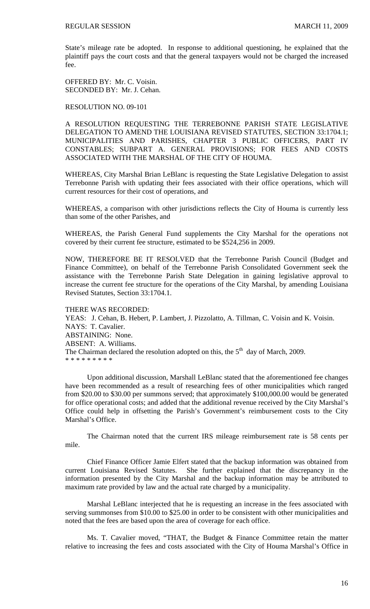State's mileage rate be adopted. In response to additional questioning, he explained that the plaintiff pays the court costs and that the general taxpayers would not be charged the increased fee.

OFFERED BY: Mr. C. Voisin. SECONDED BY: Mr. J. Cehan.

## RESOLUTION NO. 09-101

A RESOLUTION REQUESTING THE TERREBONNE PARISH STATE LEGISLATIVE DELEGATION TO AMEND THE LOUISIANA REVISED STATUTES, SECTION 33:1704.1; MUNICIPALITIES AND PARISHES, CHAPTER 3 PUBLIC OFFICERS, PART IV CONSTABLES; SUBPART A. GENERAL PROVISIONS; FOR FEES AND COSTS ASSOCIATED WITH THE MARSHAL OF THE CITY OF HOUMA.

WHEREAS, City Marshal Brian LeBlanc is requesting the State Legislative Delegation to assist Terrebonne Parish with updating their fees associated with their office operations, which will current resources for their cost of operations, and

WHEREAS, a comparison with other jurisdictions reflects the City of Houma is currently less than some of the other Parishes, and

WHEREAS, the Parish General Fund supplements the City Marshal for the operations not covered by their current fee structure, estimated to be \$524,256 in 2009.

NOW, THEREFORE BE IT RESOLVED that the Terrebonne Parish Council (Budget and Finance Committee), on behalf of the Terrebonne Parish Consolidated Government seek the assistance with the Terrebonne Parish State Delegation in gaining legislative approval to increase the current fee structure for the operations of the City Marshal, by amending Louisiana Revised Statutes, Section 33:1704.1.

#### THERE WAS RECORDED:

YEAS: J. Cehan, B. Hebert, P. Lambert, J. Pizzolatto, A. Tillman, C. Voisin and K. Voisin. NAYS: T. Cavalier. ABSTAINING: None. ABSENT: A. Williams. The Chairman declared the resolution adopted on this, the  $5<sup>th</sup>$  day of March, 2009. \* \* \* \* \* \* \* \* \*

 Upon additional discussion, Marshall LeBlanc stated that the aforementioned fee changes have been recommended as a result of researching fees of other municipalities which ranged from \$20.00 to \$30.00 per summons served; that approximately \$100,000.00 would be generated for office operational costs; and added that the additional revenue received by the City Marshal's Office could help in offsetting the Parish's Government's reimbursement costs to the City Marshal's Office.

 The Chairman noted that the current IRS mileage reimbursement rate is 58 cents per mile.

 Chief Finance Officer Jamie Elfert stated that the backup information was obtained from current Louisiana Revised Statutes. She further explained that the discrepancy in the information presented by the City Marshal and the backup information may be attributed to maximum rate provided by law and the actual rate charged by a municipality.

 Marshal LeBlanc interjected that he is requesting an increase in the fees associated with serving summonses from \$10.00 to \$25.00 in order to be consistent with other municipalities and noted that the fees are based upon the area of coverage for each office.

 Ms. T. Cavalier moved, "THAT, the Budget & Finance Committee retain the matter relative to increasing the fees and costs associated with the City of Houma Marshal's Office in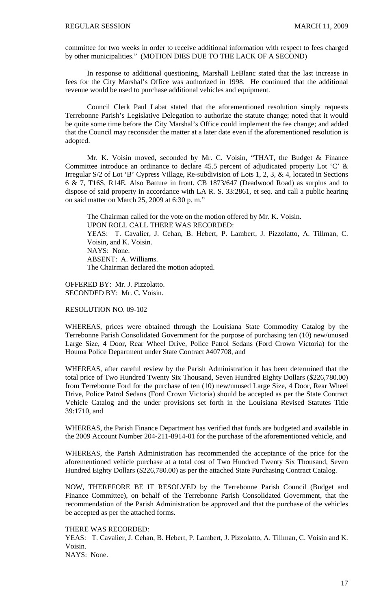committee for two weeks in order to receive additional information with respect to fees charged by other municipalities." (MOTION DIES DUE TO THE LACK OF A SECOND)

 In response to additional questioning, Marshall LeBlanc stated that the last increase in fees for the City Marshal's Office was authorized in 1998. He continued that the additional revenue would be used to purchase additional vehicles and equipment.

 Council Clerk Paul Labat stated that the aforementioned resolution simply requests Terrebonne Parish's Legislative Delegation to authorize the statute change; noted that it would be quite some time before the City Marshal's Office could implement the fee change; and added that the Council may reconsider the matter at a later date even if the aforementioned resolution is adopted.

 Mr. K. Voisin moved, seconded by Mr. C. Voisin, "THAT, the Budget & Finance Committee introduce an ordinance to declare 45.5 percent of adjudicated property Lot 'C' & Irregular S/2 of Lot 'B' Cypress Village, Re-subdivision of Lots 1, 2, 3, & 4, located in Sections 6 & 7, T16S, R14E. Also Batture in front. CB 1873/647 (Deadwood Road) as surplus and to dispose of said property in accordance with LA R. S. 33:2861, et seq. and call a public hearing on said matter on March 25, 2009 at 6:30 p. m."

The Chairman called for the vote on the motion offered by Mr. K. Voisin. UPON ROLL CALL THERE WAS RECORDED: YEAS: T. Cavalier, J. Cehan, B. Hebert, P. Lambert, J. Pizzolatto, A. Tillman, C. Voisin, and K. Voisin. NAYS: None. ABSENT: A. Williams. The Chairman declared the motion adopted.

OFFERED BY: Mr. J. Pizzolatto. SECONDED BY: Mr. C. Voisin.

# RESOLUTION NO. 09-102

WHEREAS, prices were obtained through the Louisiana State Commodity Catalog by the Terrebonne Parish Consolidated Government for the purpose of purchasing ten (10) new/unused Large Size, 4 Door, Rear Wheel Drive, Police Patrol Sedans (Ford Crown Victoria) for the Houma Police Department under State Contract #407708, and

WHEREAS, after careful review by the Parish Administration it has been determined that the total price of Two Hundred Twenty Six Thousand, Seven Hundred Eighty Dollars (\$226,780.00) from Terrebonne Ford for the purchase of ten (10) new/unused Large Size, 4 Door, Rear Wheel Drive, Police Patrol Sedans (Ford Crown Victoria) should be accepted as per the State Contract Vehicle Catalog and the under provisions set forth in the Louisiana Revised Statutes Title 39:1710, and

WHEREAS, the Parish Finance Department has verified that funds are budgeted and available in the 2009 Account Number 204-211-8914-01 for the purchase of the aforementioned vehicle, and

WHEREAS, the Parish Administration has recommended the acceptance of the price for the aforementioned vehicle purchase at a total cost of Two Hundred Twenty Six Thousand, Seven Hundred Eighty Dollars (\$226,780.00) as per the attached State Purchasing Contract Catalog.

NOW, THEREFORE BE IT RESOLVED by the Terrebonne Parish Council (Budget and Finance Committee), on behalf of the Terrebonne Parish Consolidated Government, that the recommendation of the Parish Administration be approved and that the purchase of the vehicles be accepted as per the attached forms.

#### THERE WAS RECORDED:

YEAS: T. Cavalier, J. Cehan, B. Hebert, P. Lambert, J. Pizzolatto, A. Tillman, C. Voisin and K. Voisin.

NAYS: None.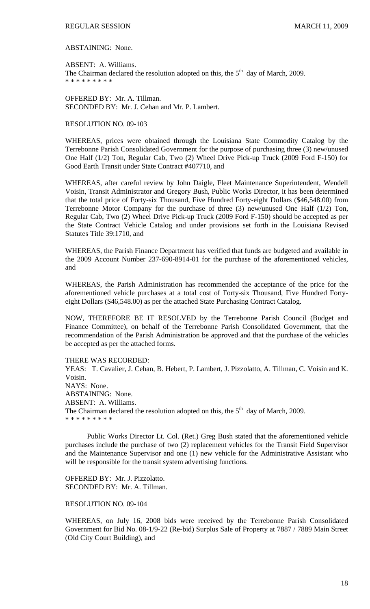ABSTAINING: None.

ABSENT: A. Williams. The Chairman declared the resolution adopted on this, the  $5<sup>th</sup>$  day of March, 2009. \* \* \* \* \* \* \* \* \*

OFFERED BY: Mr. A. Tillman. SECONDED BY: Mr. J. Cehan and Mr. P. Lambert.

### RESOLUTION NO. 09-103

WHEREAS, prices were obtained through the Louisiana State Commodity Catalog by the Terrebonne Parish Consolidated Government for the purpose of purchasing three (3) new/unused One Half (1/2) Ton, Regular Cab, Two (2) Wheel Drive Pick-up Truck (2009 Ford F-150) for Good Earth Transit under State Contract #407710, and

WHEREAS, after careful review by John Daigle, Fleet Maintenance Superintendent, Wendell Voisin, Transit Administrator and Gregory Bush, Public Works Director, it has been determined that the total price of Forty-six Thousand, Five Hundred Forty-eight Dollars (\$46,548.00) from Terrebonne Motor Company for the purchase of three (3) new/unused One Half (1/2) Ton, Regular Cab, Two (2) Wheel Drive Pick-up Truck (2009 Ford F-150) should be accepted as per the State Contract Vehicle Catalog and under provisions set forth in the Louisiana Revised Statutes Title 39:1710, and

WHEREAS, the Parish Finance Department has verified that funds are budgeted and available in the 2009 Account Number 237-690-8914-01 for the purchase of the aforementioned vehicles, and

WHEREAS, the Parish Administration has recommended the acceptance of the price for the aforementioned vehicle purchases at a total cost of Forty-six Thousand, Five Hundred Fortyeight Dollars (\$46,548.00) as per the attached State Purchasing Contract Catalog.

NOW, THEREFORE BE IT RESOLVED by the Terrebonne Parish Council (Budget and Finance Committee), on behalf of the Terrebonne Parish Consolidated Government, that the recommendation of the Parish Administration be approved and that the purchase of the vehicles be accepted as per the attached forms.

THERE WAS RECORDED:

YEAS: T. Cavalier, J. Cehan, B. Hebert, P. Lambert, J. Pizzolatto, A. Tillman, C. Voisin and K. Voisin. NAYS: None. ABSTAINING: None. ABSENT: A. Williams. The Chairman declared the resolution adopted on this, the  $5<sup>th</sup>$  day of March, 2009. \* \* \* \* \* \* \* \* \*

 Public Works Director Lt. Col. (Ret.) Greg Bush stated that the aforementioned vehicle purchases include the purchase of two (2) replacement vehicles for the Transit Field Supervisor and the Maintenance Supervisor and one (1) new vehicle for the Administrative Assistant who will be responsible for the transit system advertising functions.

OFFERED BY: Mr. J. Pizzolatto. SECONDED BY: Mr. A. Tillman.

# RESOLUTION NO. 09-104

WHEREAS, on July 16, 2008 bids were received by the Terrebonne Parish Consolidated Government for Bid No. 08-1/9-22 (Re-bid) Surplus Sale of Property at 7887 / 7889 Main Street (Old City Court Building), and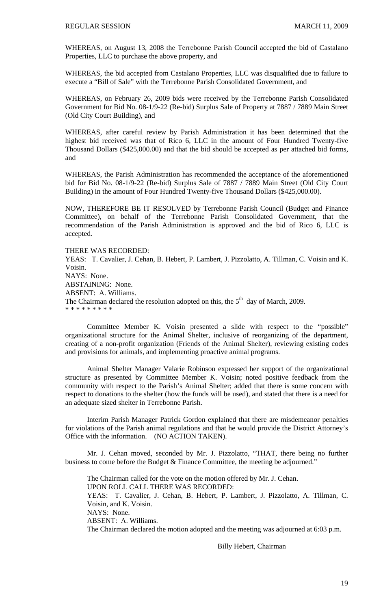WHEREAS, on August 13, 2008 the Terrebonne Parish Council accepted the bid of Castalano Properties, LLC to purchase the above property, and

WHEREAS, the bid accepted from Castalano Properties, LLC was disqualified due to failure to execute a "Bill of Sale" with the Terrebonne Parish Consolidated Government, and

WHEREAS, on February 26, 2009 bids were received by the Terrebonne Parish Consolidated Government for Bid No. 08-1/9-22 (Re-bid) Surplus Sale of Property at 7887 / 7889 Main Street (Old City Court Building), and

WHEREAS, after careful review by Parish Administration it has been determined that the highest bid received was that of Rico 6, LLC in the amount of Four Hundred Twenty-five Thousand Dollars (\$425,000.00) and that the bid should be accepted as per attached bid forms, and

WHEREAS, the Parish Administration has recommended the acceptance of the aforementioned bid for Bid No. 08-1/9-22 (Re-bid) Surplus Sale of 7887 / 7889 Main Street (Old City Court Building) in the amount of Four Hundred Twenty-five Thousand Dollars (\$425,000.00).

NOW, THEREFORE BE IT RESOLVED by Terrebonne Parish Council (Budget and Finance Committee), on behalf of the Terrebonne Parish Consolidated Government, that the recommendation of the Parish Administration is approved and the bid of Rico 6, LLC is accepted.

THERE WAS RECORDED: YEAS: T. Cavalier, J. Cehan, B. Hebert, P. Lambert, J. Pizzolatto, A. Tillman, C. Voisin and K. Voisin. NAYS: None. ABSTAINING: None. ABSENT: A. Williams. The Chairman declared the resolution adopted on this, the  $5<sup>th</sup>$  day of March, 2009. \* \* \* \* \* \* \* \* \*

 Committee Member K. Voisin presented a slide with respect to the "possible" organizational structure for the Animal Shelter, inclusive of reorganizing of the department, creating of a non-profit organization (Friends of the Animal Shelter), reviewing existing codes and provisions for animals, and implementing proactive animal programs.

 Animal Shelter Manager Valarie Robinson expressed her support of the organizational structure as presented by Committee Member K. Voisin; noted positive feedback from the community with respect to the Parish's Animal Shelter; added that there is some concern with respect to donations to the shelter (how the funds will be used), and stated that there is a need for an adequate sized shelter in Terrebonne Parish.

 Interim Parish Manager Patrick Gordon explained that there are misdemeanor penalties for violations of the Parish animal regulations and that he would provide the District Attorney's Office with the information. (NO ACTION TAKEN).

 Mr. J. Cehan moved, seconded by Mr. J. Pizzolatto, "THAT, there being no further business to come before the Budget & Finance Committee, the meeting be adjourned."

 The Chairman called for the vote on the motion offered by Mr. J. Cehan. UPON ROLL CALL THERE WAS RECORDED: YEAS: T. Cavalier, J. Cehan, B. Hebert, P. Lambert, J. Pizzolatto, A. Tillman, C. Voisin, and K. Voisin. NAYS: None. ABSENT: A. Williams. The Chairman declared the motion adopted and the meeting was adjourned at 6:03 p.m.

Billy Hebert, Chairman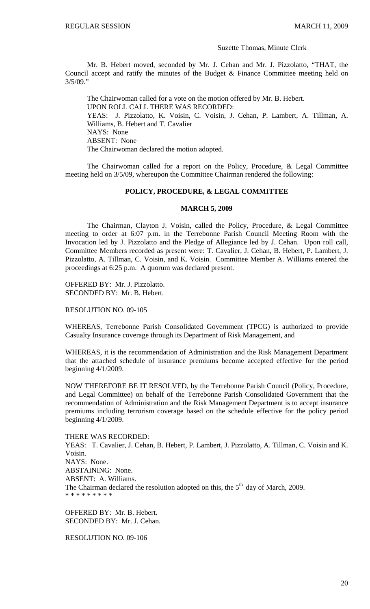#### Suzette Thomas, Minute Clerk

 Mr. B. Hebert moved, seconded by Mr. J. Cehan and Mr. J. Pizzolatto, "THAT, the Council accept and ratify the minutes of the Budget & Finance Committee meeting held on 3/5/09."

 The Chairwoman called for a vote on the motion offered by Mr. B. Hebert. UPON ROLL CALL THERE WAS RECORDED: YEAS: J. Pizzolatto, K. Voisin, C. Voisin, J. Cehan, P. Lambert, A. Tillman, A. Williams, B. Hebert and T. Cavalier NAYS: None ABSENT: None The Chairwoman declared the motion adopted.

 The Chairwoman called for a report on the Policy, Procedure, & Legal Committee meeting held on 3/5/09, whereupon the Committee Chairman rendered the following:

# **POLICY, PROCEDURE, & LEGAL COMMITTEE**

#### **MARCH 5, 2009**

 The Chairman, Clayton J. Voisin, called the Policy, Procedure, & Legal Committee meeting to order at 6:07 p.m. in the Terrebonne Parish Council Meeting Room with the Invocation led by J. Pizzolatto and the Pledge of Allegiance led by J. Cehan. Upon roll call, Committee Members recorded as present were: T. Cavalier, J. Cehan, B. Hebert, P. Lambert, J. Pizzolatto, A. Tillman, C. Voisin, and K. Voisin. Committee Member A. Williams entered the proceedings at 6:25 p.m. A quorum was declared present.

OFFERED BY: Mr. J. Pizzolatto. SECONDED BY: Mr. B. Hebert.

# RESOLUTION NO. 09-105

WHEREAS, Terrebonne Parish Consolidated Government (TPCG) is authorized to provide Casualty Insurance coverage through its Department of Risk Management, and

WHEREAS, it is the recommendation of Administration and the Risk Management Department that the attached schedule of insurance premiums become accepted effective for the period beginning 4/1/2009.

NOW THEREFORE BE IT RESOLVED, by the Terrebonne Parish Council (Policy, Procedure, and Legal Committee) on behalf of the Terrebonne Parish Consolidated Government that the recommendation of Administration and the Risk Management Department is to accept insurance premiums including terrorism coverage based on the schedule effective for the policy period beginning 4/1/2009.

# THERE WAS RECORDED:

YEAS: T. Cavalier, J. Cehan, B. Hebert, P. Lambert, J. Pizzolatto, A. Tillman, C. Voisin and K. Voisin. NAYS: None. ABSTAINING: None. ABSENT: A. Williams. The Chairman declared the resolution adopted on this, the  $5<sup>th</sup>$  day of March, 2009. \* \* \* \* \* \* \* \*

OFFERED BY: Mr. B. Hebert. SECONDED BY: Mr. J. Cehan.

RESOLUTION NO. 09-106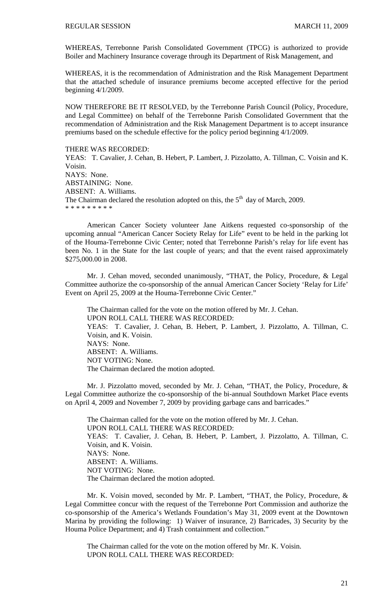WHEREAS, Terrebonne Parish Consolidated Government (TPCG) is authorized to provide Boiler and Machinery Insurance coverage through its Department of Risk Management, and

WHEREAS, it is the recommendation of Administration and the Risk Management Department that the attached schedule of insurance premiums become accepted effective for the period beginning 4/1/2009.

NOW THEREFORE BE IT RESOLVED, by the Terrebonne Parish Council (Policy, Procedure, and Legal Committee) on behalf of the Terrebonne Parish Consolidated Government that the recommendation of Administration and the Risk Management Department is to accept insurance premiums based on the schedule effective for the policy period beginning 4/1/2009.

#### THERE WAS RECORDED:

YEAS: T. Cavalier, J. Cehan, B. Hebert, P. Lambert, J. Pizzolatto, A. Tillman, C. Voisin and K. Voisin. NAYS: None. ABSTAINING: None. ABSENT: A. Williams. The Chairman declared the resolution adopted on this, the  $5<sup>th</sup>$  day of March, 2009. \* \* \* \* \* \* \* \* \*

 American Cancer Society volunteer Jane Aitkens requested co-sponsorship of the upcoming annual "American Cancer Society Relay for Life" event to be held in the parking lot of the Houma-Terrebonne Civic Center; noted that Terrebonne Parish's relay for life event has been No. 1 in the State for the last couple of years; and that the event raised approximately \$275,000.00 in 2008.

 Mr. J. Cehan moved, seconded unanimously, "THAT, the Policy, Procedure, & Legal Committee authorize the co-sponsorship of the annual American Cancer Society 'Relay for Life' Event on April 25, 2009 at the Houma-Terrebonne Civic Center."

 The Chairman called for the vote on the motion offered by Mr. J. Cehan. UPON ROLL CALL THERE WAS RECORDED: YEAS: T. Cavalier, J. Cehan, B. Hebert, P. Lambert, J. Pizzolatto, A. Tillman, C. Voisin, and K. Voisin. NAYS: None. ABSENT: A. Williams. NOT VOTING: None. The Chairman declared the motion adopted.

 Mr. J. Pizzolatto moved, seconded by Mr. J. Cehan, "THAT, the Policy, Procedure, & Legal Committee authorize the co-sponsorship of the bi-annual Southdown Market Place events on April 4, 2009 and November 7, 2009 by providing garbage cans and barricades."

 The Chairman called for the vote on the motion offered by Mr. J. Cehan. UPON ROLL CALL THERE WAS RECORDED: YEAS: T. Cavalier, J. Cehan, B. Hebert, P. Lambert, J. Pizzolatto, A. Tillman, C. Voisin, and K. Voisin. NAYS: None. ABSENT: A. Williams. NOT VOTING: None. The Chairman declared the motion adopted.

 Mr. K. Voisin moved, seconded by Mr. P. Lambert, "THAT, the Policy, Procedure, & Legal Committee concur with the request of the Terrebonne Port Commission and authorize the co-sponsorship of the America's Wetlands Foundation's May 31, 2009 event at the Downtown Marina by providing the following: 1) Waiver of insurance, 2) Barricades, 3) Security by the Houma Police Department; and 4) Trash containment and collection."

 The Chairman called for the vote on the motion offered by Mr. K. Voisin. UPON ROLL CALL THERE WAS RECORDED: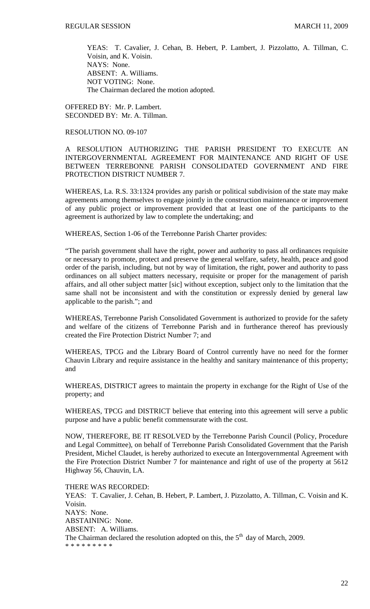YEAS: T. Cavalier, J. Cehan, B. Hebert, P. Lambert, J. Pizzolatto, A. Tillman, C. Voisin, and K. Voisin. NAYS: None. ABSENT: A. Williams. NOT VOTING: None. The Chairman declared the motion adopted.

OFFERED BY: Mr. P. Lambert. SECONDED BY: Mr. A. Tillman.

# RESOLUTION NO. 09-107

A RESOLUTION AUTHORIZING THE PARISH PRESIDENT TO EXECUTE AN INTERGOVERNMENTAL AGREEMENT FOR MAINTENANCE AND RIGHT OF USE BETWEEN TERREBONNE PARISH CONSOLIDATED GOVERNMENT AND FIRE PROTECTION DISTRICT NUMBER 7.

WHEREAS, La. R.S. 33:1324 provides any parish or political subdivision of the state may make agreements among themselves to engage jointly in the construction maintenance or improvement of any public project or improvement provided that at least one of the participants to the agreement is authorized by law to complete the undertaking; and

WHEREAS, Section 1-06 of the Terrebonne Parish Charter provides:

"The parish government shall have the right, power and authority to pass all ordinances requisite or necessary to promote, protect and preserve the general welfare, safety, health, peace and good order of the parish, including, but not by way of limitation, the right, power and authority to pass ordinances on all subject matters necessary, requisite or proper for the management of parish affairs, and all other subject matter [sic] without exception, subject only to the limitation that the same shall not be inconsistent and with the constitution or expressly denied by general law applicable to the parish."; and

WHEREAS, Terrebonne Parish Consolidated Government is authorized to provide for the safety and welfare of the citizens of Terrebonne Parish and in furtherance thereof has previously created the Fire Protection District Number 7; and

WHEREAS, TPCG and the Library Board of Control currently have no need for the former Chauvin Library and require assistance in the healthy and sanitary maintenance of this property; and

WHEREAS, DISTRICT agrees to maintain the property in exchange for the Right of Use of the property; and

WHEREAS, TPCG and DISTRICT believe that entering into this agreement will serve a public purpose and have a public benefit commensurate with the cost.

NOW, THEREFORE, BE IT RESOLVED by the Terrebonne Parish Council (Policy, Procedure and Legal Committee), on behalf of Terrebonne Parish Consolidated Government that the Parish President, Michel Claudet, is hereby authorized to execute an Intergovernmental Agreement with the Fire Protection District Number 7 for maintenance and right of use of the property at 5612 Highway 56, Chauvin, LA.

THERE WAS RECORDED: YEAS: T. Cavalier, J. Cehan, B. Hebert, P. Lambert, J. Pizzolatto, A. Tillman, C. Voisin and K. Voisin. NAYS: None. ABSTAINING: None. ABSENT: A. Williams. The Chairman declared the resolution adopted on this, the  $5<sup>th</sup>$  day of March, 2009. \* \* \* \* \* \* \* \* \*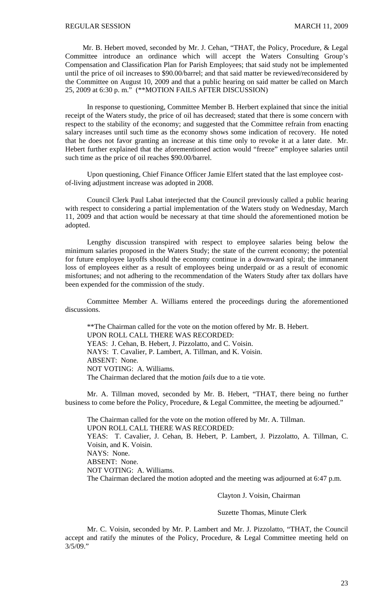Mr. B. Hebert moved, seconded by Mr. J. Cehan, "THAT, the Policy, Procedure, & Legal Committee introduce an ordinance which will accept the Waters Consulting Group's Compensation and Classification Plan for Parish Employees; that said study not be implemented until the price of oil increases to \$90.00/barrel; and that said matter be reviewed/reconsidered by the Committee on August 10, 2009 and that a public hearing on said matter be called on March 25, 2009 at 6:30 p. m." (\*\*MOTION FAILS AFTER DISCUSSION)

In response to questioning, Committee Member B. Herbert explained that since the initial receipt of the Waters study, the price of oil has decreased; stated that there is some concern with respect to the stability of the economy; and suggested that the Committee refrain from enacting salary increases until such time as the economy shows some indication of recovery. He noted that he does not favor granting an increase at this time only to revoke it at a later date. Mr. Hebert further explained that the aforementioned action would "freeze" employee salaries until such time as the price of oil reaches \$90.00/barrel.

Upon questioning, Chief Finance Officer Jamie Elfert stated that the last employee costof-living adjustment increase was adopted in 2008.

Council Clerk Paul Labat interjected that the Council previously called a public hearing with respect to considering a partial implementation of the Waters study on Wednesday, March 11, 2009 and that action would be necessary at that time should the aforementioned motion be adopted.

Lengthy discussion transpired with respect to employee salaries being below the minimum salaries proposed in the Waters Study; the state of the current economy; the potential for future employee layoffs should the economy continue in a downward spiral; the immanent loss of employees either as a result of employees being underpaid or as a result of economic misfortunes; and not adhering to the recommendation of the Waters Study after tax dollars have been expended for the commission of the study.

Committee Member A. Williams entered the proceedings during the aforementioned discussions.

\*\*The Chairman called for the vote on the motion offered by Mr. B. Hebert. UPON ROLL CALL THERE WAS RECORDED: YEAS: J. Cehan, B. Hebert, J. Pizzolatto, and C. Voisin. NAYS: T. Cavalier, P. Lambert, A. Tillman, and K. Voisin. ABSENT: None. NOT VOTING: A. Williams. The Chairman declared that the motion *fails* due to a tie vote.

 Mr. A. Tillman moved, seconded by Mr. B. Hebert, "THAT, there being no further business to come before the Policy, Procedure, & Legal Committee, the meeting be adjourned."

 The Chairman called for the vote on the motion offered by Mr. A. Tillman. UPON ROLL CALL THERE WAS RECORDED: YEAS: T. Cavalier, J. Cehan, B. Hebert, P. Lambert, J. Pizzolatto, A. Tillman, C. Voisin, and K. Voisin. NAYS: None. ABSENT: None. NOT VOTING: A. Williams. The Chairman declared the motion adopted and the meeting was adjourned at 6:47 p.m.

Clayton J. Voisin, Chairman

Suzette Thomas, Minute Clerk

Mr. C. Voisin, seconded by Mr. P. Lambert and Mr. J. Pizzolatto, "THAT, the Council accept and ratify the minutes of the Policy, Procedure, & Legal Committee meeting held on  $3/5/09$ ."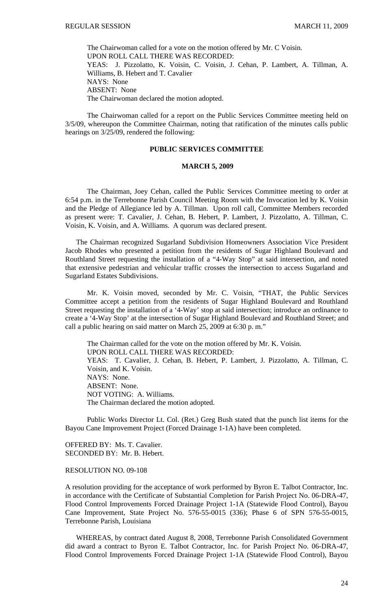The Chairwoman called for a vote on the motion offered by Mr. C Voisin. UPON ROLL CALL THERE WAS RECORDED: YEAS: J. Pizzolatto, K. Voisin, C. Voisin, J. Cehan, P. Lambert, A. Tillman, A. Williams, B. Hebert and T. Cavalier NAYS: None ABSENT: None The Chairwoman declared the motion adopted.

 The Chairwoman called for a report on the Public Services Committee meeting held on 3/5/09, whereupon the Committee Chairman, noting that ratification of the minutes calls public hearings on 3/25/09, rendered the following:

# **PUBLIC SERVICES COMMITTEE**

#### **MARCH 5, 2009**

 The Chairman, Joey Cehan, called the Public Services Committee meeting to order at 6:54 p.m. in the Terrebonne Parish Council Meeting Room with the Invocation led by K. Voisin and the Pledge of Allegiance led by A. Tillman. Upon roll call, Committee Members recorded as present were: T. Cavalier, J. Cehan, B. Hebert, P. Lambert, J. Pizzolatto, A. Tillman, C. Voisin, K. Voisin, and A. Williams. A quorum was declared present.

 The Chairman recognized Sugarland Subdivision Homeowners Association Vice President Jacob Rhodes who presented a petition from the residents of Sugar Highland Boulevard and Routhland Street requesting the installation of a "4-Way Stop" at said intersection, and noted that extensive pedestrian and vehicular traffic crosses the intersection to access Sugarland and Sugarland Estates Subdivisions.

 Mr. K. Voisin moved, seconded by Mr. C. Voisin, "THAT, the Public Services Committee accept a petition from the residents of Sugar Highland Boulevard and Routhland Street requesting the installation of a '4-Way' stop at said intersection; introduce an ordinance to create a '4-Way Stop' at the intersection of Sugar Highland Boulevard and Routhland Street; and call a public hearing on said matter on March 25, 2009 at 6:30 p. m."

 The Chairman called for the vote on the motion offered by Mr. K. Voisin. UPON ROLL CALL THERE WAS RECORDED: YEAS: T. Cavalier, J. Cehan, B. Hebert, P. Lambert, J. Pizzolatto, A. Tillman, C. Voisin, and K. Voisin. NAYS: None. ABSENT: None. NOT VOTING: A. Williams. The Chairman declared the motion adopted.

 Public Works Director Lt. Col. (Ret.) Greg Bush stated that the punch list items for the Bayou Cane Improvement Project (Forced Drainage 1-1A) have been completed.

OFFERED BY: Ms. T. Cavalier. SECONDED BY: Mr. B. Hebert.

#### RESOLUTION NO. 09-108

A resolution providing for the acceptance of work performed by Byron E. Talbot Contractor, Inc. in accordance with the Certificate of Substantial Completion for Parish Project No. 06-DRA-47, Flood Control Improvements Forced Drainage Project 1-1A (Statewide Flood Control), Bayou Cane Improvement, State Project No. 576-55-0015 (336); Phase 6 of SPN 576-55-0015, Terrebonne Parish, Louisiana

 WHEREAS, by contract dated August 8, 2008, Terrebonne Parish Consolidated Government did award a contract to Byron E. Talbot Contractor, Inc. for Parish Project No. 06-DRA-47, Flood Control Improvements Forced Drainage Project 1-1A (Statewide Flood Control), Bayou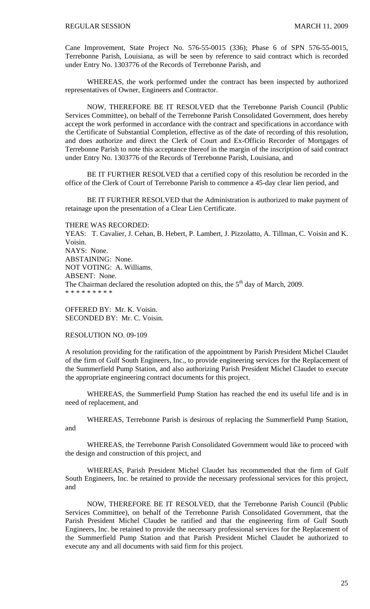Cane Improvement, State Project No. 576-55-0015 (336); Phase 6 of SPN 576-55-0015, Terrebonne Parish, Louisiana, as will be seen by reference to said contract which is recorded under Entry No. 1303776 of the Records of Terrebonne Parish, and

 WHEREAS, the work performed under the contract has been inspected by authorized representatives of Owner, Engineers and Contractor.

 NOW, THEREFORE BE IT RESOLVED that the Terrebonne Parish Council (Public Services Committee), on behalf of the Terrebonne Parish Consolidated Government, does hereby accept the work performed in accordance with the contract and specifications in accordance with the Certificate of Substantial Completion, effective as of the date of recording of this resolution, and does authorize and direct the Clerk of Court and Ex-Officio Recorder of Mortgages of Terrebonne Parish to note this acceptance thereof in the margin of the inscription of said contract under Entry No. 1303776 of the Records of Terrebonne Parish, Louisiana, and

 BE IT FURTHER RESOLVED that a certified copy of this resolution be recorded in the office of the Clerk of Court of Terrebonne Parish to commence a 45-day clear lien period, and

 BE IT FURTHER RESOLVED that the Administration is authorized to make payment of retainage upon the presentation of a Clear Lien Certificate.

THERE WAS RECORDED:

YEAS: T. Cavalier, J. Cehan, B. Hebert, P. Lambert, J. Pizzolatto, A. Tillman, C. Voisin and K. Voisin. NAYS: None. ABSTAINING: None. NOT VOTING: A. Williams. ABSENT: None. The Chairman declared the resolution adopted on this, the  $5<sup>th</sup>$  day of March, 2009. \* \* \* \* \* \* \* \* \*

OFFERED BY: Mr. K. Voisin. SECONDED BY: Mr. C. Voisin.

RESOLUTION NO. 09-109

A resolution providing for the ratification of the appointment by Parish President Michel Claudet of the firm of Gulf South Engineers, Inc., to provide engineering services for the Replacement of the Summerfield Pump Station, and also authorizing Parish President Michel Claudet to execute the appropriate engineering contract documents for this project.

WHEREAS, the Summerfield Pump Station has reached the end its useful life and is in need of replacement, and

WHEREAS, Terrebonne Parish is desirous of replacing the Summerfield Pump Station, and

WHEREAS, the Terrebonne Parish Consolidated Government would like to proceed with the design and construction of this project, and

WHEREAS, Parish President Michel Claudet has recommended that the firm of Gulf South Engineers, Inc. be retained to provide the necessary professional services for this project, and

NOW, THEREFORE BE IT RESOLVED, that the Terrebonne Parish Council (Public Services Committee), on behalf of the Terrebonne Parish Consolidated Government, that the Parish President Michel Claudet be ratified and that the engineering firm of Gulf South Engineers, Inc. be retained to provide the necessary professional services for the Replacement of the Summerfield Pump Station and that Parish President Michel Claudet be authorized to execute any and all documents with said firm for this project.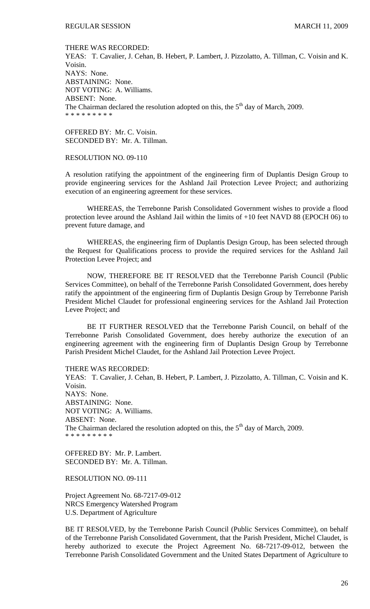#### THERE WAS RECORDED:

YEAS: T. Cavalier, J. Cehan, B. Hebert, P. Lambert, J. Pizzolatto, A. Tillman, C. Voisin and K. Voisin. NAYS: None. ABSTAINING: None. NOT VOTING: A. Williams. ABSENT: None. The Chairman declared the resolution adopted on this, the  $5<sup>th</sup>$  day of March, 2009. \* \* \* \* \* \* \* \* \*

OFFERED BY: Mr. C. Voisin. SECONDED BY: Mr. A. Tillman.

#### RESOLUTION NO. 09-110

A resolution ratifying the appointment of the engineering firm of Duplantis Design Group to provide engineering services for the Ashland Jail Protection Levee Project; and authorizing execution of an engineering agreement for these services.

 WHEREAS, the Terrebonne Parish Consolidated Government wishes to provide a flood protection levee around the Ashland Jail within the limits of +10 feet NAVD 88 (EPOCH 06) to prevent future damage, and

 WHEREAS, the engineering firm of Duplantis Design Group, has been selected through the Request for Qualifications process to provide the required services for the Ashland Jail Protection Levee Project; and

 NOW, THEREFORE BE IT RESOLVED that the Terrebonne Parish Council (Public Services Committee), on behalf of the Terrebonne Parish Consolidated Government, does hereby ratify the appointment of the engineering firm of Duplantis Design Group by Terrebonne Parish President Michel Claudet for professional engineering services for the Ashland Jail Protection Levee Project; and

 BE IT FURTHER RESOLVED that the Terrebonne Parish Council, on behalf of the Terrebonne Parish Consolidated Government, does hereby authorize the execution of an engineering agreement with the engineering firm of Duplantis Design Group by Terrebonne Parish President Michel Claudet, for the Ashland Jail Protection Levee Project.

THERE WAS RECORDED:

YEAS: T. Cavalier, J. Cehan, B. Hebert, P. Lambert, J. Pizzolatto, A. Tillman, C. Voisin and K. Voisin. NAYS: None. ABSTAINING: None. NOT VOTING: A. Williams. ABSENT: None. The Chairman declared the resolution adopted on this, the  $5<sup>th</sup>$  day of March, 2009. \* \* \* \* \* \* \* \* \*

OFFERED BY: Mr. P. Lambert. SECONDED BY: Mr. A. Tillman.

RESOLUTION NO. 09-111

Project Agreement No. 68-7217-09-012 NRCS Emergency Watershed Program U.S. Department of Agriculture

BE IT RESOLVED, by the Terrebonne Parish Council (Public Services Committee), on behalf of the Terrebonne Parish Consolidated Government, that the Parish President, Michel Claudet, is hereby authorized to execute the Project Agreement No. 68-7217-09-012, between the Terrebonne Parish Consolidated Government and the United States Department of Agriculture to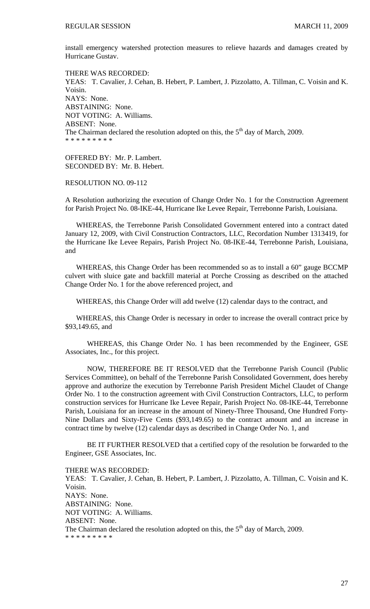install emergency watershed protection measures to relieve hazards and damages created by Hurricane Gustav.

THERE WAS RECORDED: YEAS: T. Cavalier, J. Cehan, B. Hebert, P. Lambert, J. Pizzolatto, A. Tillman, C. Voisin and K. Voisin. NAYS: None. ABSTAINING: None. NOT VOTING: A. Williams. ABSENT: None. The Chairman declared the resolution adopted on this, the  $5<sup>th</sup>$  day of March, 2009. \* \* \* \* \* \* \* \* \*

OFFERED BY: Mr. P. Lambert. SECONDED BY: Mr. B. Hebert.

RESOLUTION NO. 09-112

A Resolution authorizing the execution of Change Order No. 1 for the Construction Agreement for Parish Project No. 08-IKE-44, Hurricane Ike Levee Repair, Terrebonne Parish, Louisiana.

 WHEREAS, the Terrebonne Parish Consolidated Government entered into a contract dated January 12, 2009, with Civil Construction Contractors, LLC, Recordation Number 1313419, for the Hurricane Ike Levee Repairs, Parish Project No. 08-IKE-44, Terrebonne Parish, Louisiana, and

 WHEREAS, this Change Order has been recommended so as to install a 60" gauge BCCMP culvert with sluice gate and backfill material at Porche Crossing as described on the attached Change Order No. 1 for the above referenced project, and

WHEREAS, this Change Order will add twelve (12) calendar days to the contract, and

 WHEREAS, this Change Order is necessary in order to increase the overall contract price by \$93,149.65, and

 WHEREAS, this Change Order No. 1 has been recommended by the Engineer, GSE Associates, Inc., for this project.

NOW, THEREFORE BE IT RESOLVED that the Terrebonne Parish Council (Public Services Committee), on behalf of the Terrebonne Parish Consolidated Government, does hereby approve and authorize the execution by Terrebonne Parish President Michel Claudet of Change Order No. 1 to the construction agreement with Civil Construction Contractors, LLC, to perform construction services for Hurricane Ike Levee Repair, Parish Project No. 08-IKE-44, Terrebonne Parish, Louisiana for an increase in the amount of Ninety-Three Thousand, One Hundred Forty-Nine Dollars and Sixty-Five Cents (\$93,149.65) to the contract amount and an increase in contract time by twelve (12) calendar days as described in Change Order No. 1, and

 BE IT FURTHER RESOLVED that a certified copy of the resolution be forwarded to the Engineer, GSE Associates, Inc.

THERE WAS RECORDED:

YEAS: T. Cavalier, J. Cehan, B. Hebert, P. Lambert, J. Pizzolatto, A. Tillman, C. Voisin and K. Voisin. NAYS: None. ABSTAINING: None. NOT VOTING: A. Williams. ABSENT: None. The Chairman declared the resolution adopted on this, the  $5<sup>th</sup>$  day of March, 2009. \* \* \* \* \* \* \* \* \*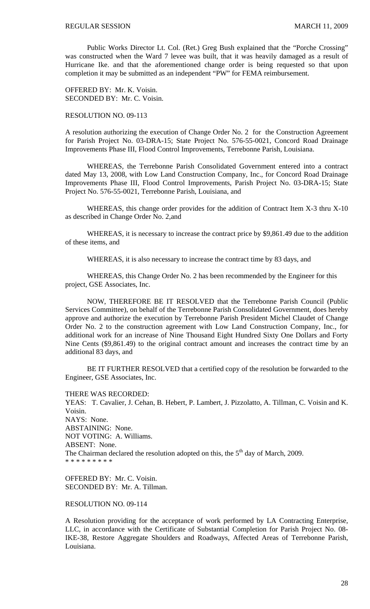Public Works Director Lt. Col. (Ret.) Greg Bush explained that the "Porche Crossing" was constructed when the Ward 7 levee was built, that it was heavily damaged as a result of Hurricane Ike. and that the aforementioned change order is being requested so that upon completion it may be submitted as an independent "PW" for FEMA reimbursement.

OFFERED BY: Mr. K. Voisin. SECONDED BY: Mr. C. Voisin.

## RESOLUTION NO. 09-113

A resolution authorizing the execution of Change Order No. 2 for the Construction Agreement for Parish Project No. 03-DRA-15; State Project No. 576-55-0021, Concord Road Drainage Improvements Phase III, Flood Control Improvements, Terrebonne Parish, Louisiana.

WHEREAS, the Terrebonne Parish Consolidated Government entered into a contract dated May 13, 2008, with Low Land Construction Company, Inc., for Concord Road Drainage Improvements Phase III, Flood Control Improvements, Parish Project No. 03-DRA-15; State Project No. 576-55-0021, Terrebonne Parish, Louisiana, and

WHEREAS, this change order provides for the addition of Contract Item X-3 thru X-10 as described in Change Order No. 2,and

WHEREAS, it is necessary to increase the contract price by \$9,861.49 due to the addition of these items, and

WHEREAS, it is also necessary to increase the contract time by 83 days, and

WHEREAS, this Change Order No. 2 has been recommended by the Engineer for this project, GSE Associates, Inc.

NOW, THEREFORE BE IT RESOLVED that the Terrebonne Parish Council (Public Services Committee), on behalf of the Terrebonne Parish Consolidated Government, does hereby approve and authorize the execution by Terrebonne Parish President Michel Claudet of Change Order No. 2 to the construction agreement with Low Land Construction Company, Inc., for additional work for an increase of Nine Thousand Eight Hundred Sixty One Dollars and Forty Nine Cents (\$9,861.49) to the original contract amount and increases the contract time by an additional 83 days, and

BE IT FURTHER RESOLVED that a certified copy of the resolution be forwarded to the Engineer, GSE Associates, Inc.

THERE WAS RECORDED:

YEAS: T. Cavalier, J. Cehan, B. Hebert, P. Lambert, J. Pizzolatto, A. Tillman, C. Voisin and K. Voisin. NAYS: None. ABSTAINING: None. NOT VOTING: A. Williams. ABSENT: None. The Chairman declared the resolution adopted on this, the  $5<sup>th</sup>$  day of March, 2009. \* \* \* \* \* \* \* \* \*

OFFERED BY: Mr. C. Voisin. SECONDED BY: Mr. A. Tillman.

RESOLUTION NO. 09-114

A Resolution providing for the acceptance of work performed by LA Contracting Enterprise, LLC, in accordance with the Certificate of Substantial Completion for Parish Project No. 08- IKE-38, Restore Aggregate Shoulders and Roadways, Affected Areas of Terrebonne Parish, Louisiana.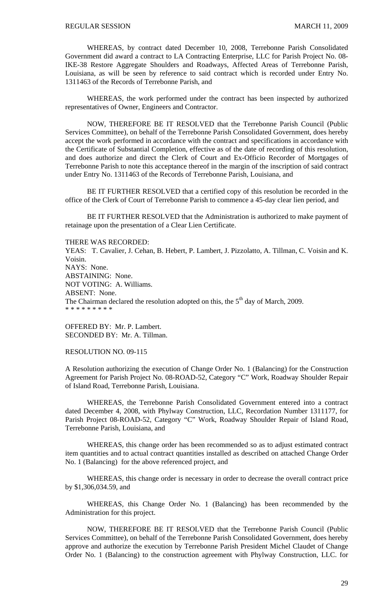WHEREAS, by contract dated December 10, 2008, Terrebonne Parish Consolidated Government did award a contract to LA Contracting Enterprise, LLC for Parish Project No. 08- IKE-38 Restore Aggregate Shoulders and Roadways, Affected Areas of Terrebonne Parish, Louisiana, as will be seen by reference to said contract which is recorded under Entry No. 1311463 of the Records of Terrebonne Parish, and

 WHEREAS, the work performed under the contract has been inspected by authorized representatives of Owner, Engineers and Contractor.

 NOW, THEREFORE BE IT RESOLVED that the Terrebonne Parish Council (Public Services Committee), on behalf of the Terrebonne Parish Consolidated Government, does hereby accept the work performed in accordance with the contract and specifications in accordance with the Certificate of Substantial Completion, effective as of the date of recording of this resolution, and does authorize and direct the Clerk of Court and Ex-Officio Recorder of Mortgages of Terrebonne Parish to note this acceptance thereof in the margin of the inscription of said contract under Entry No. 1311463 of the Records of Terrebonne Parish, Louisiana, and

 BE IT FURTHER RESOLVED that a certified copy of this resolution be recorded in the office of the Clerk of Court of Terrebonne Parish to commence a 45-day clear lien period, and

 BE IT FURTHER RESOLVED that the Administration is authorized to make payment of retainage upon the presentation of a Clear Lien Certificate.

#### THERE WAS RECORDED:

YEAS: T. Cavalier, J. Cehan, B. Hebert, P. Lambert, J. Pizzolatto, A. Tillman, C. Voisin and K. Voisin. NAYS: None. ABSTAINING: None. NOT VOTING: A. Williams. ABSENT: None. The Chairman declared the resolution adopted on this, the  $5<sup>th</sup>$  day of March, 2009. \* \* \* \* \* \* \* \* \*

OFFERED BY: Mr. P. Lambert. SECONDED BY: Mr. A. Tillman.

#### RESOLUTION NO. 09-115

A Resolution authorizing the execution of Change Order No. 1 (Balancing) for the Construction Agreement for Parish Project No. 08-ROAD-52, Category "C" Work, Roadway Shoulder Repair of Island Road, Terrebonne Parish, Louisiana.

 WHEREAS, the Terrebonne Parish Consolidated Government entered into a contract dated December 4, 2008, with Phylway Construction, LLC, Recordation Number 1311177, for Parish Project 08-ROAD-52, Category "C" Work, Roadway Shoulder Repair of Island Road, Terrebonne Parish, Louisiana, and

 WHEREAS, this change order has been recommended so as to adjust estimated contract item quantities and to actual contract quantities installed as described on attached Change Order No. 1 (Balancing) for the above referenced project, and

 WHEREAS, this change order is necessary in order to decrease the overall contract price by \$1,306,034.59, and

 WHEREAS, this Change Order No. 1 (Balancing) has been recommended by the Administration for this project.

 NOW, THEREFORE BE IT RESOLVED that the Terrebonne Parish Council (Public Services Committee), on behalf of the Terrebonne Parish Consolidated Government, does hereby approve and authorize the execution by Terrebonne Parish President Michel Claudet of Change Order No. 1 (Balancing) to the construction agreement with Phylway Construction, LLC. for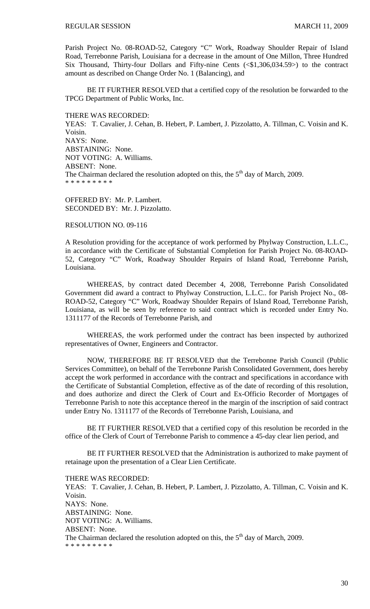Parish Project No. 08-ROAD-52, Category "C" Work, Roadway Shoulder Repair of Island Road, Terrebonne Parish, Louisiana for a decrease in the amount of One Millon, Three Hundred Six Thousand, Thirty-four Dollars and Fifty-nine Cents (<\$1,306,034.59>) to the contract amount as described on Change Order No. 1 (Balancing), and

 BE IT FURTHER RESOLVED that a certified copy of the resolution be forwarded to the TPCG Department of Public Works, Inc.

THERE WAS RECORDED:

YEAS: T. Cavalier, J. Cehan, B. Hebert, P. Lambert, J. Pizzolatto, A. Tillman, C. Voisin and K. Voisin. NAYS: None. ABSTAINING: None. NOT VOTING: A. Williams. ABSENT: None. The Chairman declared the resolution adopted on this, the  $5<sup>th</sup>$  day of March, 2009. \* \* \* \* \* \* \* \* \*

OFFERED BY: Mr. P. Lambert. SECONDED BY: Mr. J. Pizzolatto.

RESOLUTION NO. 09-116

A Resolution providing for the acceptance of work performed by Phylway Construction, L.L.C., in accordance with the Certificate of Substantial Completion for Parish Project No. 08-ROAD-52, Category "C" Work, Roadway Shoulder Repairs of Island Road, Terrebonne Parish, Louisiana.

 WHEREAS, by contract dated December 4, 2008, Terrebonne Parish Consolidated Government did award a contract to Phylway Construction, L.L.C.. for Parish Project No., 08- ROAD-52, Category "C" Work, Roadway Shoulder Repairs of Island Road, Terrebonne Parish, Louisiana, as will be seen by reference to said contract which is recorded under Entry No. 1311177 of the Records of Terrebonne Parish, and

 WHEREAS, the work performed under the contract has been inspected by authorized representatives of Owner, Engineers and Contractor.

 NOW, THEREFORE BE IT RESOLVED that the Terrebonne Parish Council (Public Services Committee), on behalf of the Terrebonne Parish Consolidated Government, does hereby accept the work performed in accordance with the contract and specifications in accordance with the Certificate of Substantial Completion, effective as of the date of recording of this resolution, and does authorize and direct the Clerk of Court and Ex-Officio Recorder of Mortgages of Terrebonne Parish to note this acceptance thereof in the margin of the inscription of said contract under Entry No. 1311177 of the Records of Terrebonne Parish, Louisiana, and

 BE IT FURTHER RESOLVED that a certified copy of this resolution be recorded in the office of the Clerk of Court of Terrebonne Parish to commence a 45-day clear lien period, and

 BE IT FURTHER RESOLVED that the Administration is authorized to make payment of retainage upon the presentation of a Clear Lien Certificate.

THERE WAS RECORDED:

YEAS: T. Cavalier, J. Cehan, B. Hebert, P. Lambert, J. Pizzolatto, A. Tillman, C. Voisin and K. Voisin. NAYS: None. ABSTAINING: None. NOT VOTING: A. Williams. ABSENT: None. The Chairman declared the resolution adopted on this, the  $5<sup>th</sup>$  day of March, 2009. \* \* \* \* \* \* \* \* \*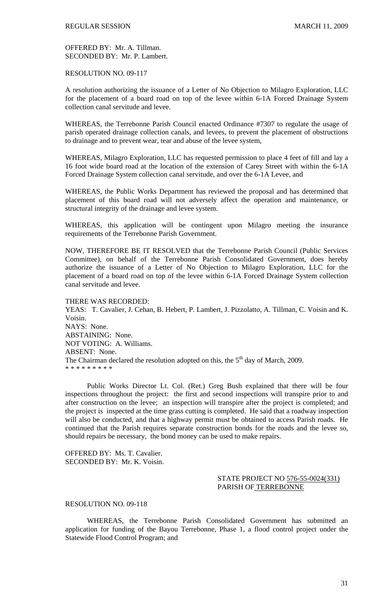# OFFERED BY: Mr. A. Tillman. SECONDED BY: Mr. P. Lambert.

RESOLUTION NO. 09-117

A resolution authorizing the issuance of a Letter of No Objection to Milagro Exploration, LLC for the placement of a board road on top of the levee within 6-1A Forced Drainage System collection canal servitude and levee.

WHEREAS, the Terrebonne Parish Council enacted Ordinance #7307 to regulate the usage of parish operated drainage collection canals, and levees, to prevent the placement of obstructions to drainage and to prevent wear, tear and abuse of the levee system,

WHEREAS, Milagro Exploration, LLC has requested permission to place 4 feet of fill and lay a 16 foot wide board road at the location of the extension of Carey Street with within the 6-1A Forced Drainage System collection canal servitude, and over the 6-1A Levee, and

WHEREAS, the Public Works Department has reviewed the proposal and has determined that placement of this board road will not adversely affect the operation and maintenance, or structural integrity of the drainage and levee system.

WHEREAS, this application will be contingent upon Milagro meeting the insurance requirements of the Terrebonne Parish Government.

NOW, THEREFORE BE IT RESOLVED that the Terrebonne Parish Council (Public Services Committee), on behalf of the Terrebonne Parish Consolidated Government, does hereby authorize the issuance of a Letter of No Objection to Milagro Exploration, LLC for the placement of a board road on top of the levee within 6-1A Forced Drainage System collection canal servitude and levee.

#### THERE WAS RECORDED:

YEAS: T. Cavalier, J. Cehan, B. Hebert, P. Lambert, J. Pizzolatto, A. Tillman, C. Voisin and K. Voisin. NAYS: None. ABSTAINING: None. NOT VOTING: A. Williams. ABSENT: None. The Chairman declared the resolution adopted on this, the  $5<sup>th</sup>$  day of March, 2009. \* \* \* \* \* \* \* \* \*

 Public Works Director Lt. Col. (Ret.) Greg Bush explained that there will be four inspections throughout the project: the first and second inspections will transpire prior to and after construction on the levee; an inspection will transpire after the project is completed; and the project is inspected at the time grass cutting is completed. He said that a roadway inspection will also be conducted, and that a highway permit must be obtained to access Parish roads. He continued that the Parish requires separate construction bonds for the roads and the levee so, should repairs be necessary, the bond money can be used to make repairs.

OFFERED BY: Ms. T. Cavalier. SECONDED BY: Mr. K. Voisin.

# STATE PROJECT NO 576-55-0024(331) PARISH OF TERREBONNE

# RESOLUTION NO. 09-118

 WHEREAS, the Terrebonne Parish Consolidated Government has submitted an application for funding of the Bayou Terrebonne, Phase 1, a flood control project under the Statewide Flood Control Program; and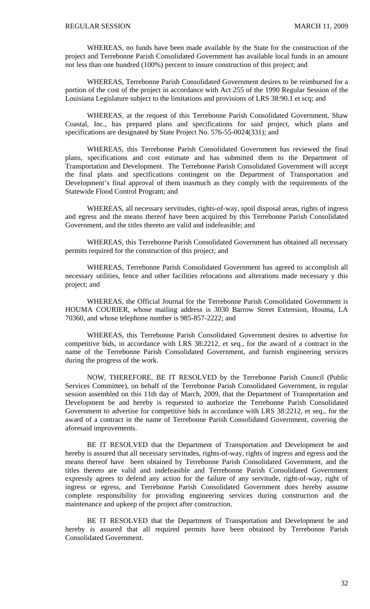WHEREAS, no funds have been made available by the State for the construction of the project and Terrebonne Parish Consolidated Government has available local funds in an amount not less than one hundred (100%) percent to insure construction of this project; and

 WHEREAS, Terrebonne Parish Consolidated Government desires to be reimbursed for a portion of the cost of the project in accordance with Act 255 of the 1990 Regular Session of the Louisiana Legislature subject to the limitations and provisions of LRS 38:90.1 et scq; and

 WHEREAS, at the request of this Terrebonne Parish Consolidated Government, Shaw Coastal, Inc., has prepared plans and specifications for said project, which plans and specifications are designated by State Project No. 576-55-0024(331); and

 WHEREAS, this Terrebonne Parish Consolidated Government has reviewed the final plans, specifications and cost estimate and has submitted them to the Department of Transportation and Development. The Terrebonne Parish Consolidated Government will accept the final plans and specifications contingent on the Department of Transportation and Development's final approval of them inasmuch as they comply with the requirements of the Statewide Flood Control Program; and

 WHEREAS, all necessary servitudes, rights-of-way, spoil disposal areas, rights of ingress and egress and the means thereof have been acquired by this Terrebonne Parish Consolidated Government, and the titles thereto are valid and indefeasible; and

 WHEREAS, this Terrebonne Parish Consolidated Government has obtained all necessary permits required for the construction of this project; and

 WHEREAS, Terrebonne Parish Consolidated Government has agreed to accomplish all necessary utilities, fence and other facilities relocations and alterations made necessary y this project; and

 WHEREAS, the Official Journal for the Terrebonne Parish Consolidated Government is HOUMA COURIER, whose mailing address is 3030 Barrow Street Extension, Houma, LA 70360, and whose telephone number is 985-857-2222; and

 WHEREAS, this Terrebonne Parish Consolidated Government desires to advertise for competitive bids, in accordance with LRS 38:2212, et seq., for the award of a contract in the name of the Terrebonne Parish Consolidated Government, and furnish engineering services during the progress of the work.

 NOW, THEREFORE, BE IT RESOLVED by the Terrebonne Parish Council (Public Services Committee), on behalf of the Terrebonne Parish Consolidated Government, in regular session assembled on this 11th day of March, 2009, that the Department of Transportation and Development be and hereby is requested to authorize the Terrebonne Parish Consolidated Government to advertise for competitive bids in accordance with LRS 38:2212, et seq., for the award of a contract in the name of Terrebonne Parish Consolidated Government, covering the aforesaid improvements.

 BE IT RESOLVED that the Department of Transportation and Development be and hereby is assured that all necessary servitudes, rights-of-way, rights of ingress and egress and the means thereof have been obtained by Terrebonne Parish Consolidated Government, and the titles thereto are valid and indefeasible and Terrebonne Parish Consolidated Government expressly agrees to defend any action for the failure of any servitude, right-of-way, right of ingress or egress, and Terrebonne Parish Consolidated Government does hereby assume complete responsibility for providing engineering services during construction and the maintenance and upkeep of the project after construction.

 BE IT RESOLVED that the Department of Transportation and Development be and hereby is assured that all required permits have been obtained by Terrebonne Parish Consolidated Government.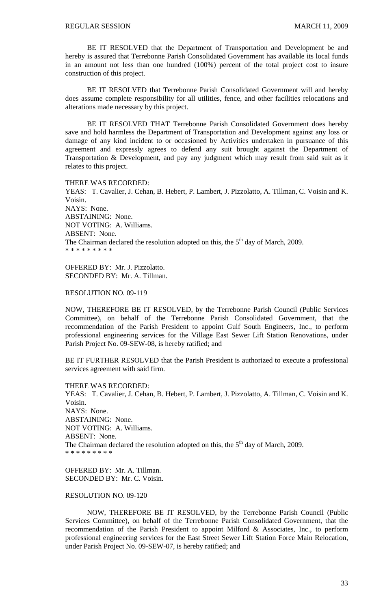BE IT RESOLVED that the Department of Transportation and Development be and hereby is assured that Terrebonne Parish Consolidated Government has available its local funds in an amount not less than one hundred (100%) percent of the total project cost to insure construction of this project.

 BE IT RESOLVED that Terrebonne Parish Consolidated Government will and hereby does assume complete responsibility for all utilities, fence, and other facilities relocations and alterations made necessary by this project.

 BE IT RESOLVED THAT Terrebonne Parish Consolidated Government does hereby save and hold harmless the Department of Transportation and Development against any loss or damage of any kind incident to or occasioned by Activities undertaken in pursuance of this agreement and expressly agrees to defend any suit brought against the Department of Transportation & Development, and pay any judgment which may result from said suit as it relates to this project.

THERE WAS RECORDED:

YEAS: T. Cavalier, J. Cehan, B. Hebert, P. Lambert, J. Pizzolatto, A. Tillman, C. Voisin and K. Voisin. NAYS: None. ABSTAINING: None. NOT VOTING: A. Williams. ABSENT: None. The Chairman declared the resolution adopted on this, the  $5<sup>th</sup>$  day of March, 2009. \* \* \* \* \* \* \* \* \*

OFFERED BY: Mr. J. Pizzolatto. SECONDED BY: Mr. A. Tillman.

## RESOLUTION NO. 09-119

NOW, THEREFORE BE IT RESOLVED, by the Terrebonne Parish Council (Public Services Committee), on behalf of the Terrebonne Parish Consolidated Government, that the recommendation of the Parish President to appoint Gulf South Engineers, Inc., to perform professional engineering services for the Village East Sewer Lift Station Renovations, under Parish Project No. 09-SEW-08, is hereby ratified; and

BE IT FURTHER RESOLVED that the Parish President is authorized to execute a professional services agreement with said firm.

THERE WAS RECORDED: YEAS: T. Cavalier, J. Cehan, B. Hebert, P. Lambert, J. Pizzolatto, A. Tillman, C. Voisin and K. Voisin. NAYS: None. ABSTAINING: None. NOT VOTING: A. Williams. ABSENT: None. The Chairman declared the resolution adopted on this, the  $5<sup>th</sup>$  day of March, 2009. \* \* \* \* \* \* \* \* \*

OFFERED BY: Mr. A. Tillman. SECONDED BY: Mr. C. Voisin.

# RESOLUTION NO. 09-120

 NOW, THEREFORE BE IT RESOLVED, by the Terrebonne Parish Council (Public Services Committee), on behalf of the Terrebonne Parish Consolidated Government, that the recommendation of the Parish President to appoint Milford & Associates, Inc., to perform professional engineering services for the East Street Sewer Lift Station Force Main Relocation, under Parish Project No. 09-SEW-07, is hereby ratified; and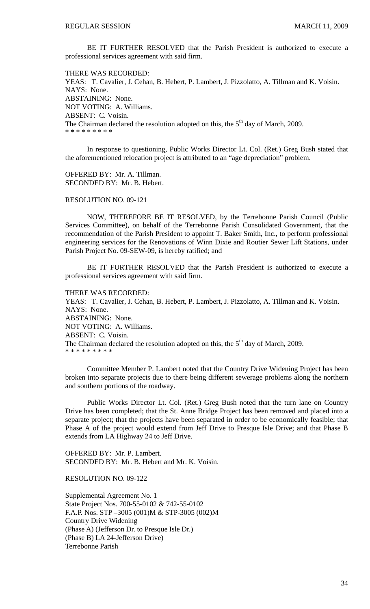BE IT FURTHER RESOLVED that the Parish President is authorized to execute a professional services agreement with said firm.

THERE WAS RECORDED: YEAS: T. Cavalier, J. Cehan, B. Hebert, P. Lambert, J. Pizzolatto, A. Tillman and K. Voisin. NAYS: None. ABSTAINING: None. NOT VOTING: A. Williams. ABSENT: C. Voisin. The Chairman declared the resolution adopted on this, the  $5<sup>th</sup>$  day of March, 2009. \* \* \* \* \* \* \* \* \*

 In response to questioning, Public Works Director Lt. Col. (Ret.) Greg Bush stated that the aforementioned relocation project is attributed to an "age depreciation" problem.

OFFERED BY: Mr. A. Tillman. SECONDED BY: Mr. B. Hebert.

#### RESOLUTION NO. 09-121

 NOW, THEREFORE BE IT RESOLVED, by the Terrebonne Parish Council (Public Services Committee), on behalf of the Terrebonne Parish Consolidated Government, that the recommendation of the Parish President to appoint T. Baker Smith, Inc., to perform professional engineering services for the Renovations of Winn Dixie and Routier Sewer Lift Stations, under Parish Project No. 09-SEW-09, is hereby ratified; and

 BE IT FURTHER RESOLVED that the Parish President is authorized to execute a professional services agreement with said firm.

THERE WAS RECORDED:

YEAS: T. Cavalier, J. Cehan, B. Hebert, P. Lambert, J. Pizzolatto, A. Tillman and K. Voisin. NAYS: None. ABSTAINING: None. NOT VOTING: A. Williams. ABSENT: C. Voisin. The Chairman declared the resolution adopted on this, the  $5<sup>th</sup>$  day of March, 2009. \* \* \* \* \* \* \* \* \*

 Committee Member P. Lambert noted that the Country Drive Widening Project has been broken into separate projects due to there being different sewerage problems along the northern and southern portions of the roadway.

 Public Works Director Lt. Col. (Ret.) Greg Bush noted that the turn lane on Country Drive has been completed; that the St. Anne Bridge Project has been removed and placed into a separate project; that the projects have been separated in order to be economically feasible; that Phase A of the project would extend from Jeff Drive to Presque Isle Drive; and that Phase B extends from LA Highway 24 to Jeff Drive.

OFFERED BY: Mr. P. Lambert. SECONDED BY: Mr. B. Hebert and Mr. K. Voisin.

RESOLUTION NO. 09-122

Supplemental Agreement No. 1 State Project Nos. 700-55-0102 & 742-55-0102 F.A.P. Nos. STP –3005 (001)M & STP-3005 (002)M Country Drive Widening (Phase A) (Jefferson Dr. to Presque Isle Dr.) (Phase B) LA 24-Jefferson Drive) Terrebonne Parish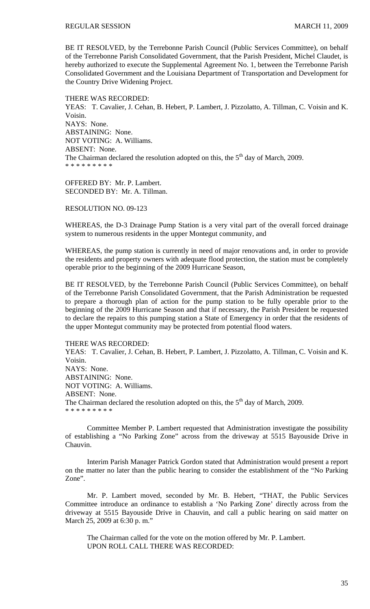BE IT RESOLVED, by the Terrebonne Parish Council (Public Services Committee), on behalf of the Terrebonne Parish Consolidated Government, that the Parish President, Michel Claudet, is hereby authorized to execute the Supplemental Agreement No. 1, between the Terrebonne Parish Consolidated Government and the Louisiana Department of Transportation and Development for the Country Drive Widening Project.

THERE WAS RECORDED: YEAS: T. Cavalier, J. Cehan, B. Hebert, P. Lambert, J. Pizzolatto, A. Tillman, C. Voisin and K. Voisin. NAYS: None. ABSTAINING: None. NOT VOTING: A. Williams. ABSENT: None. The Chairman declared the resolution adopted on this, the  $5<sup>th</sup>$  day of March, 2009. \* \* \* \* \* \* \* \* \*

OFFERED BY: Mr. P. Lambert. SECONDED BY: Mr. A. Tillman.

## RESOLUTION NO. 09-123

WHEREAS, the D-3 Drainage Pump Station is a very vital part of the overall forced drainage system to numerous residents in the upper Montegut community, and

WHEREAS, the pump station is currently in need of major renovations and, in order to provide the residents and property owners with adequate flood protection, the station must be completely operable prior to the beginning of the 2009 Hurricane Season,

BE IT RESOLVED, by the Terrebonne Parish Council (Public Services Committee), on behalf of the Terrebonne Parish Consolidated Government, that the Parish Administration be requested to prepare a thorough plan of action for the pump station to be fully operable prior to the beginning of the 2009 Hurricane Season and that if necessary, the Parish President be requested to declare the repairs to this pumping station a State of Emergency in order that the residents of the upper Montegut community may be protected from potential flood waters.

#### THERE WAS RECORDED:

YEAS: T. Cavalier, J. Cehan, B. Hebert, P. Lambert, J. Pizzolatto, A. Tillman, C. Voisin and K. Voisin. NAYS: None. ABSTAINING: None. NOT VOTING: A. Williams. ABSENT: None. The Chairman declared the resolution adopted on this, the  $5<sup>th</sup>$  day of March, 2009. \* \* \* \* \* \* \* \* \*

 Committee Member P. Lambert requested that Administration investigate the possibility of establishing a "No Parking Zone" across from the driveway at 5515 Bayouside Drive in Chauvin.

 Interim Parish Manager Patrick Gordon stated that Administration would present a report on the matter no later than the public hearing to consider the establishment of the "No Parking Zone".

 Mr. P. Lambert moved, seconded by Mr. B. Hebert, "THAT, the Public Services Committee introduce an ordinance to establish a 'No Parking Zone' directly across from the driveway at 5515 Bayouside Drive in Chauvin, and call a public hearing on said matter on March 25, 2009 at 6:30 p. m."

 The Chairman called for the vote on the motion offered by Mr. P. Lambert. UPON ROLL CALL THERE WAS RECORDED: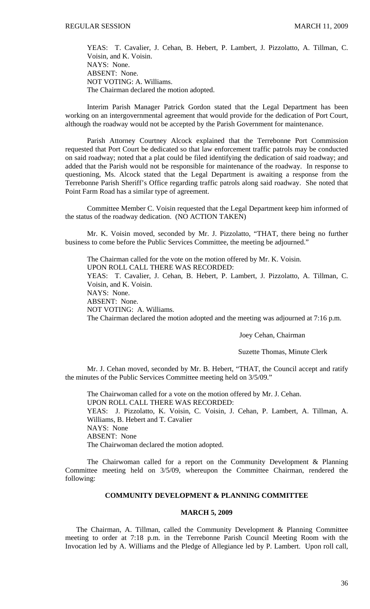YEAS: T. Cavalier, J. Cehan, B. Hebert, P. Lambert, J. Pizzolatto, A. Tillman, C. Voisin, and K. Voisin. NAYS: None. ABSENT: None. NOT VOTING: A. Williams. The Chairman declared the motion adopted.

 Interim Parish Manager Patrick Gordon stated that the Legal Department has been working on an intergovernmental agreement that would provide for the dedication of Port Court, although the roadway would not be accepted by the Parish Government for maintenance.

 Parish Attorney Courtney Alcock explained that the Terrebonne Port Commission requested that Port Court be dedicated so that law enforcement traffic patrols may be conducted on said roadway; noted that a plat could be filed identifying the dedication of said roadway; and added that the Parish would not be responsible for maintenance of the roadway. In response to questioning, Ms. Alcock stated that the Legal Department is awaiting a response from the Terrebonne Parish Sheriff's Office regarding traffic patrols along said roadway. She noted that Point Farm Road has a similar type of agreement.

 Committee Member C. Voisin requested that the Legal Department keep him informed of the status of the roadway dedication. (NO ACTION TAKEN)

 Mr. K. Voisin moved, seconded by Mr. J. Pizzolatto, "THAT, there being no further business to come before the Public Services Committee, the meeting be adjourned."

 The Chairman called for the vote on the motion offered by Mr. K. Voisin. UPON ROLL CALL THERE WAS RECORDED: YEAS: T. Cavalier, J. Cehan, B. Hebert, P. Lambert, J. Pizzolatto, A. Tillman, C. Voisin, and K. Voisin. NAYS: None. ABSENT: None. NOT VOTING: A. Williams. The Chairman declared the motion adopted and the meeting was adjourned at 7:16 p.m.

Joey Cehan, Chairman

# Suzette Thomas, Minute Clerk

Mr. J. Cehan moved, seconded by Mr. B. Hebert, "THAT, the Council accept and ratify the minutes of the Public Services Committee meeting held on 3/5/09."

 The Chairwoman called for a vote on the motion offered by Mr. J. Cehan. UPON ROLL CALL THERE WAS RECORDED: YEAS: J. Pizzolatto, K. Voisin, C. Voisin, J. Cehan, P. Lambert, A. Tillman, A. Williams, B. Hebert and T. Cavalier NAYS: None ABSENT: None The Chairwoman declared the motion adopted.

 The Chairwoman called for a report on the Community Development & Planning Committee meeting held on 3/5/09, whereupon the Committee Chairman, rendered the following:

#### **COMMUNITY DEVELOPMENT & PLANNING COMMITTEE**

#### **MARCH 5, 2009**

 The Chairman, A. Tillman, called the Community Development & Planning Committee meeting to order at 7:18 p.m. in the Terrebonne Parish Council Meeting Room with the Invocation led by A. Williams and the Pledge of Allegiance led by P. Lambert. Upon roll call,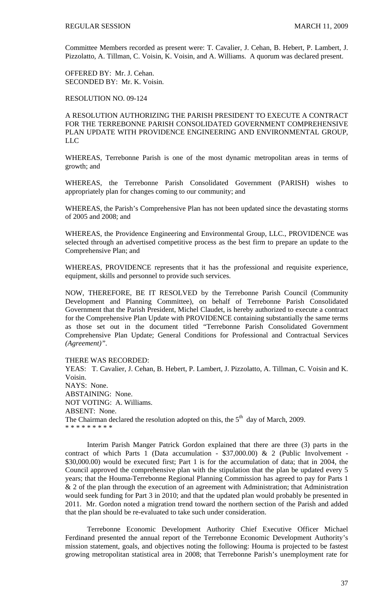Committee Members recorded as present were: T. Cavalier, J. Cehan, B. Hebert, P. Lambert, J. Pizzolatto, A. Tillman, C. Voisin, K. Voisin, and A. Williams. A quorum was declared present.

OFFERED BY: Mr. J. Cehan. SECONDED BY: Mr. K. Voisin.

RESOLUTION NO. 09-124

A RESOLUTION AUTHORIZING THE PARISH PRESIDENT TO EXECUTE A CONTRACT FOR THE TERREBONNE PARISH CONSOLIDATED GOVERNMENT COMPREHENSIVE PLAN UPDATE WITH PROVIDENCE ENGINEERING AND ENVIRONMENTAL GROUP, LLC

WHEREAS, Terrebonne Parish is one of the most dynamic metropolitan areas in terms of growth; and

WHEREAS, the Terrebonne Parish Consolidated Government (PARISH) wishes to appropriately plan for changes coming to our community; and

WHEREAS, the Parish's Comprehensive Plan has not been updated since the devastating storms of 2005 and 2008; and

WHEREAS, the Providence Engineering and Environmental Group, LLC., PROVIDENCE was selected through an advertised competitive process as the best firm to prepare an update to the Comprehensive Plan; and

WHEREAS, PROVIDENCE represents that it has the professional and requisite experience, equipment, skills and personnel to provide such services.

NOW, THEREFORE, BE IT RESOLVED by the Terrebonne Parish Council (Community Development and Planning Committee), on behalf of Terrebonne Parish Consolidated Government that the Parish President, Michel Claudet, is hereby authorized to execute a contract for the Comprehensive Plan Update with PROVIDENCE containing substantially the same terms as those set out in the document titled "Terrebonne Parish Consolidated Government Comprehensive Plan Update; General Conditions for Professional and Contractual Services *(Agreement)".*

THERE WAS RECORDED:

YEAS: T. Cavalier, J. Cehan, B. Hebert, P. Lambert, J. Pizzolatto, A. Tillman, C. Voisin and K. Voisin. NAYS: None. ABSTAINING: None. NOT VOTING: A. Williams. ABSENT: None. The Chairman declared the resolution adopted on this, the  $5<sup>th</sup>$  day of March, 2009. \* \* \* \* \* \* \* \* \*

 Interim Parish Manger Patrick Gordon explained that there are three (3) parts in the contract of which Parts 1 (Data accumulation - \$37,000.00) & 2 (Public Involvement - \$30,000.00) would be executed first; Part 1 is for the accumulation of data; that in 2004, the Council approved the comprehensive plan with the stipulation that the plan be updated every 5 years; that the Houma-Terrebonne Regional Planning Commission has agreed to pay for Parts 1  $& 2$  of the plan through the execution of an agreement with Administration; that Administration would seek funding for Part 3 in 2010; and that the updated plan would probably be presented in 2011. Mr. Gordon noted a migration trend toward the northern section of the Parish and added that the plan should be re-evaluated to take such under consideration.

 Terrebonne Economic Development Authority Chief Executive Officer Michael Ferdinand presented the annual report of the Terrebonne Economic Development Authority's mission statement, goals, and objectives noting the following: Houma is projected to be fastest growing metropolitan statistical area in 2008; that Terrebonne Parish's unemployment rate for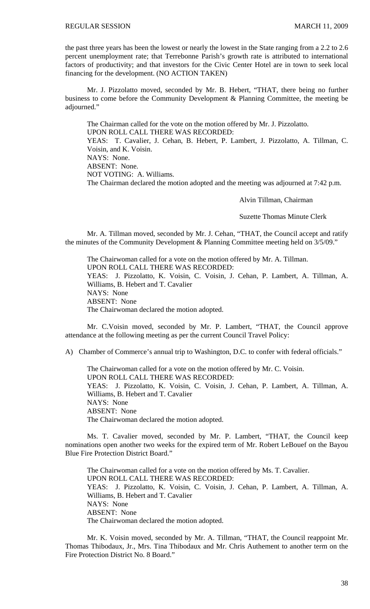the past three years has been the lowest or nearly the lowest in the State ranging from a 2.2 to 2.6 percent unemployment rate; that Terrebonne Parish's growth rate is attributed to international factors of productivity; and that investors for the Civic Center Hotel are in town to seek local financing for the development. (NO ACTION TAKEN)

 Mr. J. Pizzolatto moved, seconded by Mr. B. Hebert, "THAT, there being no further business to come before the Community Development & Planning Committee, the meeting be adjourned."

 The Chairman called for the vote on the motion offered by Mr. J. Pizzolatto. UPON ROLL CALL THERE WAS RECORDED: YEAS: T. Cavalier, J. Cehan, B. Hebert, P. Lambert, J. Pizzolatto, A. Tillman, C. Voisin, and K. Voisin. NAYS: None. ABSENT: None. NOT VOTING: A. Williams. The Chairman declared the motion adopted and the meeting was adjourned at 7:42 p.m.

Alvin Tillman, Chairman

Suzette Thomas Minute Clerk

Mr. A. Tillman moved, seconded by Mr. J. Cehan, "THAT, the Council accept and ratify the minutes of the Community Development & Planning Committee meeting held on 3/5/09."

 The Chairwoman called for a vote on the motion offered by Mr. A. Tillman. UPON ROLL CALL THERE WAS RECORDED: YEAS: J. Pizzolatto, K. Voisin, C. Voisin, J. Cehan, P. Lambert, A. Tillman, A. Williams, B. Hebert and T. Cavalier NAYS: None ABSENT: None The Chairwoman declared the motion adopted.

 Mr. C.Voisin moved, seconded by Mr. P. Lambert, "THAT, the Council approve attendance at the following meeting as per the current Council Travel Policy:

A) Chamber of Commerce's annual trip to Washington, D.C. to confer with federal officials."

 The Chairwoman called for a vote on the motion offered by Mr. C. Voisin. UPON ROLL CALL THERE WAS RECORDED: YEAS: J. Pizzolatto, K. Voisin, C. Voisin, J. Cehan, P. Lambert, A. Tillman, A. Williams, B. Hebert and T. Cavalier NAYS: None ABSENT: None The Chairwoman declared the motion adopted.

 Ms. T. Cavalier moved, seconded by Mr. P. Lambert, "THAT, the Council keep nominations open another two weeks for the expired term of Mr. Robert LeBouef on the Bayou Blue Fire Protection District Board."

 The Chairwoman called for a vote on the motion offered by Ms. T. Cavalier. UPON ROLL CALL THERE WAS RECORDED: YEAS: J. Pizzolatto, K. Voisin, C. Voisin, J. Cehan, P. Lambert, A. Tillman, A. Williams, B. Hebert and T. Cavalier NAYS: None ABSENT: None The Chairwoman declared the motion adopted.

Mr. K. Voisin moved, seconded by Mr. A. Tillman, "THAT, the Council reappoint Mr. Thomas Thibodaux, Jr., Mrs. Tina Thibodaux and Mr. Chris Authement to another term on the Fire Protection District No. 8 Board."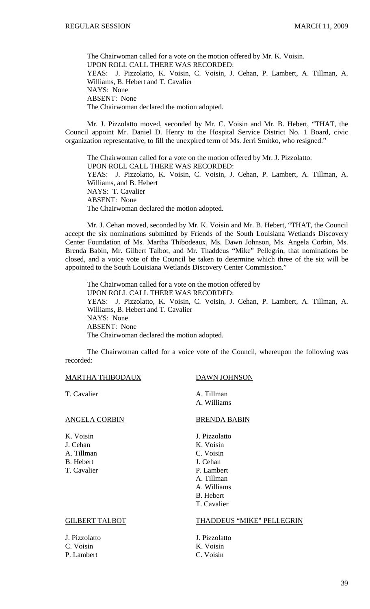The Chairwoman called for a vote on the motion offered by Mr. K. Voisin. UPON ROLL CALL THERE WAS RECORDED: YEAS: J. Pizzolatto, K. Voisin, C. Voisin, J. Cehan, P. Lambert, A. Tillman, A. Williams, B. Hebert and T. Cavalier NAYS: None ABSENT: None The Chairwoman declared the motion adopted.

Mr. J. Pizzolatto moved, seconded by Mr. C. Voisin and Mr. B. Hebert, "THAT, the Council appoint Mr. Daniel D. Henry to the Hospital Service District No. 1 Board, civic organization representative, to fill the unexpired term of Ms. Jerri Smitko, who resigned."

 The Chairwoman called for a vote on the motion offered by Mr. J. Pizzolatto. UPON ROLL CALL THERE WAS RECORDED: YEAS: J. Pizzolatto, K. Voisin, C. Voisin, J. Cehan, P. Lambert, A. Tillman, A. Williams, and B. Hebert NAYS: T. Cavalier ABSENT: None The Chairwoman declared the motion adopted.

Mr. J. Cehan moved, seconded by Mr. K. Voisin and Mr. B. Hebert, "THAT, the Council accept the six nominations submitted by Friends of the South Louisiana Wetlands Discovery Center Foundation of Ms. Martha Thibodeaux, Ms. Dawn Johnson, Ms. Angela Corbin, Ms. Brenda Babin, Mr. Gilbert Talbot, and Mr. Thaddeus "Mike" Pellegrin, that nominations be closed, and a voice vote of the Council be taken to determine which three of the six will be appointed to the South Louisiana Wetlands Discovery Center Commission."

 The Chairwoman called for a vote on the motion offered by UPON ROLL CALL THERE WAS RECORDED: YEAS: J. Pizzolatto, K. Voisin, C. Voisin, J. Cehan, P. Lambert, A. Tillman, A. Williams, B. Hebert and T. Cavalier NAYS: None ABSENT: None The Chairwoman declared the motion adopted.

 The Chairwoman called for a voice vote of the Council, whereupon the following was recorded:

# MARTHA THIBODAUX DAWN JOHNSON

# ANGELA CORBIN BRENDA BABIN

J. Cehan K. Voisin A. Tillman C. Voisin B. Hebert J. Cehan T. Cavalier P. Lambert

T. Cavalier A. Tillman A. Williams

K. Voisin J. Pizzolatto A. Tillman A. Williams B. Hebert T. Cavalier

J. Pizzolatto J. Pizzolatto C. Voisin K. Voisin P. Lambert C. Voisin

#### GILBERT TALBOT THADDEUS "MIKE" PELLEGRIN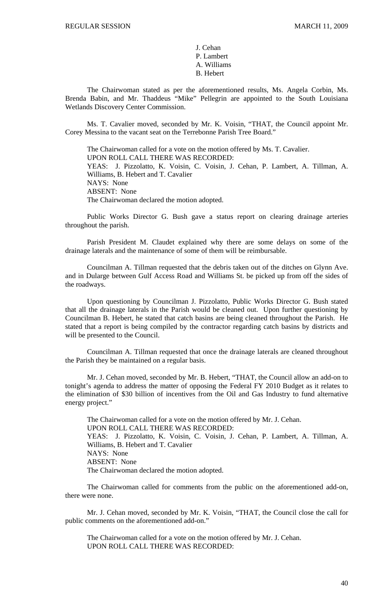J. Cehan P. Lambert A. Williams B. Hebert

 The Chairwoman stated as per the aforementioned results, Ms. Angela Corbin, Ms. Brenda Babin, and Mr. Thaddeus "Mike" Pellegrin are appointed to the South Louisiana Wetlands Discovery Center Commission.

Ms. T. Cavalier moved, seconded by Mr. K. Voisin, "THAT, the Council appoint Mr. Corey Messina to the vacant seat on the Terrebonne Parish Tree Board."

 The Chairwoman called for a vote on the motion offered by Ms. T. Cavalier. UPON ROLL CALL THERE WAS RECORDED: YEAS: J. Pizzolatto, K. Voisin, C. Voisin, J. Cehan, P. Lambert, A. Tillman, A. Williams, B. Hebert and T. Cavalier NAYS: None ABSENT: None The Chairwoman declared the motion adopted.

 Public Works Director G. Bush gave a status report on clearing drainage arteries throughout the parish.

 Parish President M. Claudet explained why there are some delays on some of the drainage laterals and the maintenance of some of them will be reimbursable.

 Councilman A. Tillman requested that the debris taken out of the ditches on Glynn Ave. and in Dularge between Gulf Access Road and Williams St. be picked up from off the sides of the roadways.

 Upon questioning by Councilman J. Pizzolatto, Public Works Director G. Bush stated that all the drainage laterals in the Parish would be cleaned out. Upon further questioning by Councilman B. Hebert, he stated that catch basins are being cleaned throughout the Parish. He stated that a report is being compiled by the contractor regarding catch basins by districts and will be presented to the Council.

 Councilman A. Tillman requested that once the drainage laterals are cleaned throughout the Parish they be maintained on a regular basis.

 Mr. J. Cehan moved, seconded by Mr. B. Hebert, "THAT, the Council allow an add-on to tonight's agenda to address the matter of opposing the Federal FY 2010 Budget as it relates to the elimination of \$30 billion of incentives from the Oil and Gas Industry to fund alternative energy project."

 The Chairwoman called for a vote on the motion offered by Mr. J. Cehan. UPON ROLL CALL THERE WAS RECORDED: YEAS: J. Pizzolatto, K. Voisin, C. Voisin, J. Cehan, P. Lambert, A. Tillman, A. Williams, B. Hebert and T. Cavalier NAYS: None ABSENT: None The Chairwoman declared the motion adopted.

 The Chairwoman called for comments from the public on the aforementioned add-on, there were none.

 Mr. J. Cehan moved, seconded by Mr. K. Voisin, "THAT, the Council close the call for public comments on the aforementioned add-on."

 The Chairwoman called for a vote on the motion offered by Mr. J. Cehan. UPON ROLL CALL THERE WAS RECORDED: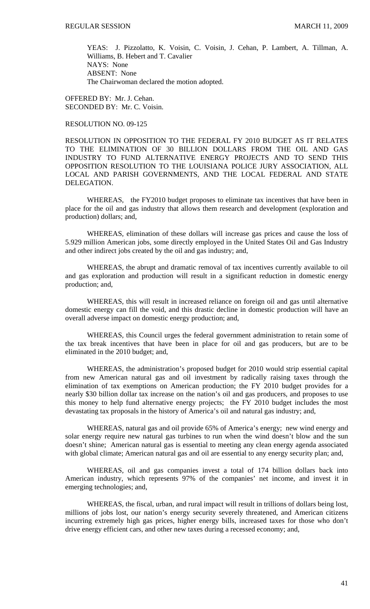YEAS: J. Pizzolatto, K. Voisin, C. Voisin, J. Cehan, P. Lambert, A. Tillman, A. Williams, B. Hebert and T. Cavalier NAYS: None ABSENT: None The Chairwoman declared the motion adopted.

OFFERED BY: Mr. J. Cehan. SECONDED BY: Mr. C. Voisin.

# RESOLUTION NO. 09-125

RESOLUTION IN OPPOSITION TO THE FEDERAL FY 2010 BUDGET AS IT RELATES TO THE ELIMINATION OF 30 BILLION DOLLARS FROM THE OIL AND GAS INDUSTRY TO FUND ALTERNATIVE ENERGY PROJECTS AND TO SEND THIS OPPOSITION RESOLUTION TO THE LOUISIANA POLICE JURY ASSOCIATION, ALL LOCAL AND PARISH GOVERNMENTS, AND THE LOCAL FEDERAL AND STATE DELEGATION.

WHEREAS, the FY2010 budget proposes to eliminate tax incentives that have been in place for the oil and gas industry that allows them research and development (exploration and production) dollars; and,

WHEREAS, elimination of these dollars will increase gas prices and cause the loss of 5.929 million American jobs, some directly employed in the United States Oil and Gas Industry and other indirect jobs created by the oil and gas industry; and,

WHEREAS, the abrupt and dramatic removal of tax incentives currently available to oil and gas exploration and production will result in a significant reduction in domestic energy production; and,

WHEREAS, this will result in increased reliance on foreign oil and gas until alternative domestic energy can fill the void, and this drastic decline in domestic production will have an overall adverse impact on domestic energy production; and,

WHEREAS, this Council urges the federal government administration to retain some of the tax break incentives that have been in place for oil and gas producers, but are to be eliminated in the 2010 budget; and,

WHEREAS, the administration's proposed budget for 2010 would strip essential capital from new American natural gas and oil investment by radically raising taxes through the elimination of tax exemptions on American production; the FY 2010 budget provides for a nearly \$30 billion dollar tax increase on the nation's oil and gas producers, and proposes to use this money to help fund alternative energy projects; the FY 2010 budget includes the most devastating tax proposals in the history of America's oil and natural gas industry; and,

WHEREAS, natural gas and oil provide 65% of America's energy; new wind energy and solar energy require new natural gas turbines to run when the wind doesn't blow and the sun doesn't shine; American natural gas is essential to meeting any clean energy agenda associated with global climate; American natural gas and oil are essential to any energy security plan; and,

WHEREAS, oil and gas companies invest a total of 174 billion dollars back into American industry, which represents 97% of the companies' net income, and invest it in emerging technologies; and,

WHEREAS, the fiscal, urban, and rural impact will result in trillions of dollars being lost, millions of jobs lost, our nation's energy security severely threatened, and American citizens incurring extremely high gas prices, higher energy bills, increased taxes for those who don't drive energy efficient cars, and other new taxes during a recessed economy; and,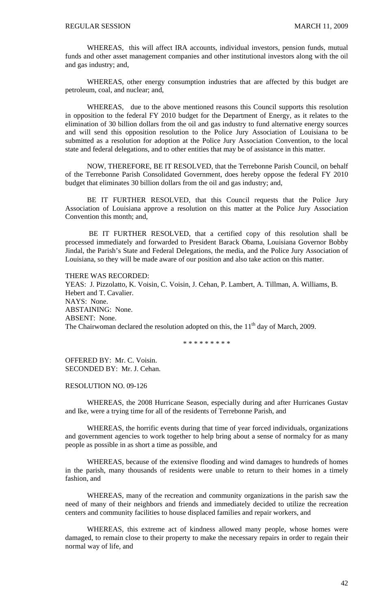WHEREAS, this will affect IRA accounts, individual investors, pension funds, mutual funds and other asset management companies and other institutional investors along with the oil and gas industry; and,

 WHEREAS, other energy consumption industries that are affected by this budget are petroleum, coal, and nuclear; and,

WHEREAS, due to the above mentioned reasons this Council supports this resolution in opposition to the federal FY 2010 budget for the Department of Energy, as it relates to the elimination of 30 billion dollars from the oil and gas industry to fund alternative energy sources and will send this opposition resolution to the Police Jury Association of Louisiana to be submitted as a resolution for adoption at the Police Jury Association Convention, to the local state and federal delegations, and to other entities that may be of assistance in this matter.

 NOW, THEREFORE, BE IT RESOLVED, that the Terrebonne Parish Council, on behalf of the Terrebonne Parish Consolidated Government, does hereby oppose the federal FY 2010 budget that eliminates 30 billion dollars from the oil and gas industry; and,

 BE IT FURTHER RESOLVED, that this Council requests that the Police Jury Association of Louisiana approve a resolution on this matter at the Police Jury Association Convention this month; and,

 BE IT FURTHER RESOLVED, that a certified copy of this resolution shall be processed immediately and forwarded to President Barack Obama, Louisiana Governor Bobby Jindal, the Parish's State and Federal Delegations, the media, and the Police Jury Association of Louisiana, so they will be made aware of our position and also take action on this matter.

THERE WAS RECORDED: YEAS: J. Pizzolatto, K. Voisin, C. Voisin, J. Cehan, P. Lambert, A. Tillman, A. Williams, B. Hebert and T. Cavalier. NAYS: None. ABSTAINING: None. ABSENT: None.

The Chairwoman declared the resolution adopted on this, the  $11<sup>th</sup>$  day of March, 2009.

\* \* \* \* \* \* \* \* \*

OFFERED BY: Mr. C. Voisin. SECONDED BY: Mr. J. Cehan.

RESOLUTION NO. 09-126

WHEREAS, the 2008 Hurricane Season, especially during and after Hurricanes Gustav and Ike, were a trying time for all of the residents of Terrebonne Parish, and

WHEREAS, the horrific events during that time of year forced individuals, organizations and government agencies to work together to help bring about a sense of normalcy for as many people as possible in as short a time as possible, and

WHEREAS, because of the extensive flooding and wind damages to hundreds of homes in the parish, many thousands of residents were unable to return to their homes in a timely fashion, and

WHEREAS, many of the recreation and community organizations in the parish saw the need of many of their neighbors and friends and immediately decided to utilize the recreation centers and community facilities to house displaced families and repair workers, and

WHEREAS, this extreme act of kindness allowed many people, whose homes were damaged, to remain close to their property to make the necessary repairs in order to regain their normal way of life, and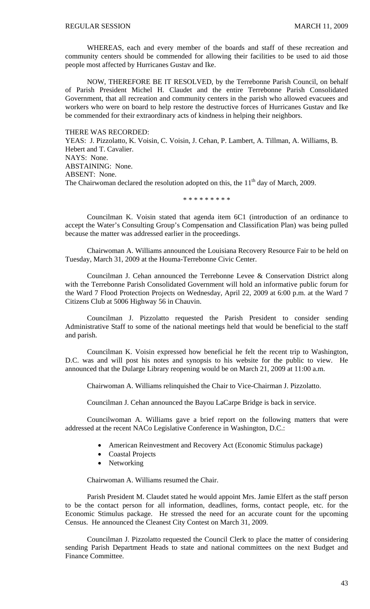WHEREAS, each and every member of the boards and staff of these recreation and community centers should be commended for allowing their facilities to be used to aid those people most affected by Hurricanes Gustav and Ike.

NOW, THEREFORE BE IT RESOLVED, by the Terrebonne Parish Council, on behalf of Parish President Michel H. Claudet and the entire Terrebonne Parish Consolidated Government, that all recreation and community centers in the parish who allowed evacuees and workers who were on board to help restore the destructive forces of Hurricanes Gustav and Ike be commended for their extraordinary acts of kindness in helping their neighbors.

# THERE WAS RECORDED:

YEAS: J. Pizzolatto, K. Voisin, C. Voisin, J. Cehan, P. Lambert, A. Tillman, A. Williams, B. Hebert and T. Cavalier. NAYS: None. ABSTAINING: None. ABSENT: None. The Chairwoman declared the resolution adopted on this, the  $11<sup>th</sup>$  day of March, 2009.

\* \* \* \* \* \* \* \* \*

Councilman K. Voisin stated that agenda item 6C1 (introduction of an ordinance to accept the Water's Consulting Group's Compensation and Classification Plan) was being pulled because the matter was addressed earlier in the proceedings.

Chairwoman A. Williams announced the Louisiana Recovery Resource Fair to be held on Tuesday, March 31, 2009 at the Houma-Terrebonne Civic Center.

Councilman J. Cehan announced the Terrebonne Levee & Conservation District along with the Terrebonne Parish Consolidated Government will hold an informative public forum for the Ward 7 Flood Protection Projects on Wednesday, April 22, 2009 at 6:00 p.m. at the Ward 7 Citizens Club at 5006 Highway 56 in Chauvin.

Councilman J. Pizzolatto requested the Parish President to consider sending Administrative Staff to some of the national meetings held that would be beneficial to the staff and parish.

Councilman K. Voisin expressed how beneficial he felt the recent trip to Washington, D.C. was and will post his notes and synopsis to his website for the public to view. He announced that the Dularge Library reopening would be on March 21, 2009 at 11:00 a.m.

Chairwoman A. Williams relinquished the Chair to Vice-Chairman J. Pizzolatto.

Councilman J. Cehan announced the Bayou LaCarpe Bridge is back in service.

Councilwoman A. Williams gave a brief report on the following matters that were addressed at the recent NACo Legislative Conference in Washington, D.C.:

- American Reinvestment and Recovery Act (Economic Stimulus package)
- Coastal Projects
- Networking

Chairwoman A. Williams resumed the Chair.

Parish President M. Claudet stated he would appoint Mrs. Jamie Elfert as the staff person to be the contact person for all information, deadlines, forms, contact people, etc. for the Economic Stimulus package. He stressed the need for an accurate count for the upcoming Census. He announced the Cleanest City Contest on March 31, 2009.

Councilman J. Pizzolatto requested the Council Clerk to place the matter of considering sending Parish Department Heads to state and national committees on the next Budget and Finance Committee.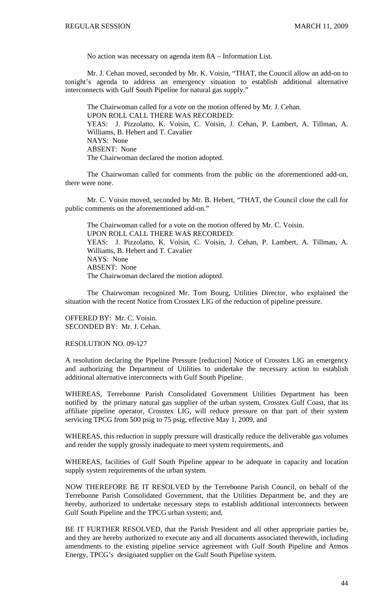No action was necessary on agenda item 8A – Information List.

 Mr. J. Cehan moved, seconded by Mr. K. Voisin, "THAT, the Council allow an add-on to tonight's agenda to address an emergency situation to establish additional alternative interconnects with Gulf South Pipeline for natural gas supply."

 The Chairwoman called for a vote on the motion offered by Mr. J. Cehan. UPON ROLL CALL THERE WAS RECORDED: YEAS: J. Pizzolatto, K. Voisin, C. Voisin, J. Cehan, P. Lambert, A. Tillman, A. Williams, B. Hebert and T. Cavalier NAYS: None ABSENT: None The Chairwoman declared the motion adopted.

 The Chairwoman called for comments from the public on the aforementioned add-on, there were none.

 Mr. C. Voisin moved, seconded by Mr. B. Hebert, "THAT, the Council close the call for public comments on the aforementioned add-on."

 The Chairwoman called for a vote on the motion offered by Mr. C. Voisin. UPON ROLL CALL THERE WAS RECORDED: YEAS: J. Pizzolatto, K. Voisin, C. Voisin, J. Cehan, P. Lambert, A. Tillman, A. Williams, B. Hebert and T. Cavalier NAYS: None ABSENT: None The Chairwoman declared the motion adopted.

 The Chairwoman recognized Mr. Tom Bourg, Utilities Director, who explained the situation with the recent Notice from Crosstex LIG of the reduction of pipeline pressure.

OFFERED BY: Mr. C. Voisin. SECONDED BY: Mr. J. Cehan.

#### RESOLUTION NO. 09-127

A resolution declaring the Pipeline Pressure [reduction] Notice of Crosstex LIG an emergency and authorizing the Department of Utilities to undertake the necessary action to establish additional alternative interconnects with Gulf South Pipeline.

WHEREAS, Terrebonne Parish Consolidated Government Utilities Department has been notified by the primary natural gas supplier of the urban system, Crosstex Gulf Coast, that its affiliate pipeline operator, Crosstex LIG, will reduce pressure on that part of their system servicing TPCG from 500 psig to 75 psig, effective May 1, 2009, and

WHEREAS, this reduction in supply pressure will drastically reduce the deliverable gas volumes and render the supply grossly inadequate to meet system requirements, and

WHEREAS, facilities of Gulf South Pipeline appear to be adequate in capacity and location supply system requirements of the urban system.

NOW THEREFORE BE IT RESOLVED by the Terrebonne Parish Council, on behalf of the Terrebonne Parish Consolidated Government, that the Utilities Department be, and they are hereby, authorized to undertake necessary steps to establish additional interconnects between Gulf South Pipeline and the TPCG urban system; and,

BE IT FURTHER RESOLVED, that the Parish President and all other appropriate parties be, and they are hereby authorized to execute any and all documents associated therewith, including amendments to the existing pipeline service agreement with Gulf South Pipeline and Atmos Energy, TPCG's designated supplier on the Gulf South Pipeline system.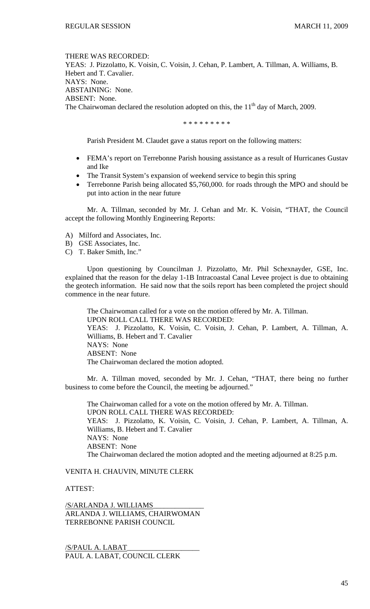THERE WAS RECORDED: YEAS: J. Pizzolatto, K. Voisin, C. Voisin, J. Cehan, P. Lambert, A. Tillman, A. Williams, B. Hebert and T. Cavalier. NAYS: None. ABSTAINING: None. ABSENT: None. The Chairwoman declared the resolution adopted on this, the  $11<sup>th</sup>$  day of March, 2009.

\* \* \* \* \* \* \* \* \*

Parish President M. Claudet gave a status report on the following matters:

- FEMA's report on Terrebonne Parish housing assistance as a result of Hurricanes Gustav and Ike
- The Transit System's expansion of weekend service to begin this spring
- Terrebonne Parish being allocated \$5,760,000. for roads through the MPO and should be put into action in the near future

 Mr. A. Tillman, seconded by Mr. J. Cehan and Mr. K. Voisin, "THAT, the Council accept the following Monthly Engineering Reports:

- A) Milford and Associates, Inc.
- B) GSE Associates, Inc.
- C) T. Baker Smith, Inc."

 Upon questioning by Councilman J. Pizzolatto, Mr. Phil Schexnayder, GSE, Inc. explained that the reason for the delay 1-1B Intracoastal Canal Levee project is due to obtaining the geotech information. He said now that the soils report has been completed the project should commence in the near future.

The Chairwoman called for a vote on the motion offered by Mr. A. Tillman. UPON ROLL CALL THERE WAS RECORDED: YEAS: J. Pizzolatto, K. Voisin, C. Voisin, J. Cehan, P. Lambert, A. Tillman, A. Williams, B. Hebert and T. Cavalier NAYS: None ABSENT: None The Chairwoman declared the motion adopted.

 Mr. A. Tillman moved, seconded by Mr. J. Cehan, "THAT, there being no further business to come before the Council, the meeting be adjourned."

 The Chairwoman called for a vote on the motion offered by Mr. A. Tillman. UPON ROLL CALL THERE WAS RECORDED: YEAS: J. Pizzolatto, K. Voisin, C. Voisin, J. Cehan, P. Lambert, A. Tillman, A. Williams, B. Hebert and T. Cavalier NAYS: None ABSENT: None The Chairwoman declared the motion adopted and the meeting adjourned at 8:25 p.m.

# VENITA H. CHAUVIN, MINUTE CLERK

# ATTEST:

/S/ARLANDA J. WILLIAMS\_\_\_\_\_\_\_\_\_\_\_\_\_\_ ARLANDA J. WILLIAMS, CHAIRWOMAN TERREBONNE PARISH COUNCIL

/S/PAUL A. LABAT\_\_\_\_\_\_\_\_\_\_\_\_\_\_\_\_\_\_\_\_ PAUL A. LABAT, COUNCIL CLERK